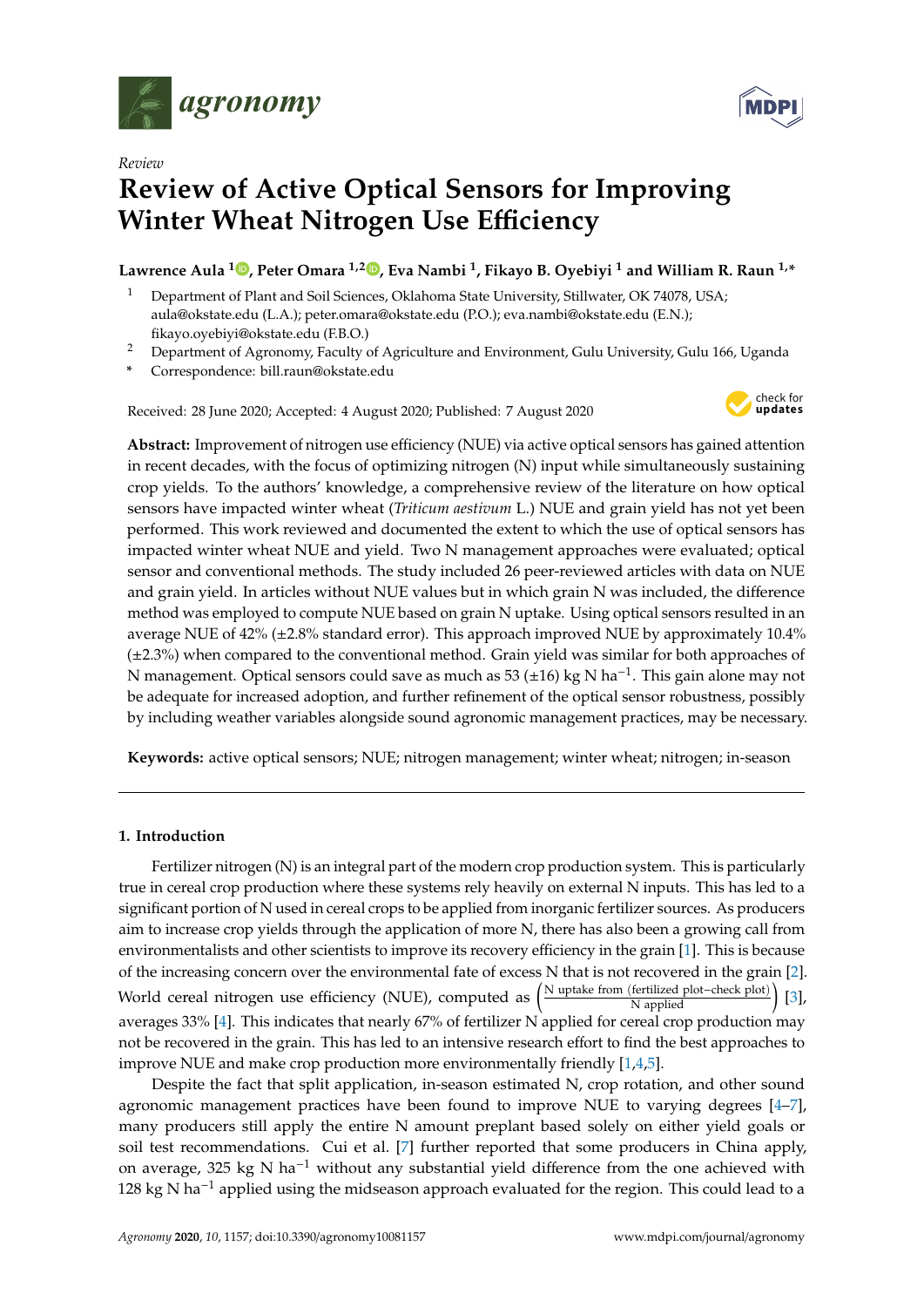



# **Review of Active Optical Sensors for Improving Winter Wheat Nitrogen Use Efficiency**

**Lawrence Aula <sup>1</sup> [,](https://orcid.org/0000-0001-8792-9063) Peter Omara 1,2 [,](https://orcid.org/0000-0002-3167-2286) Eva Nambi <sup>1</sup> , Fikayo B. Oyebiyi <sup>1</sup> and William R. Raun 1,\***

- <sup>1</sup> Department of Plant and Soil Sciences, Oklahoma State University, Stillwater, OK 74078, USA; aula@okstate.edu (L.A.); peter.omara@okstate.edu (P.O.); eva.nambi@okstate.edu (E.N.); fikayo.oyebiyi@okstate.edu (F.B.O.)
- <sup>2</sup> Department of Agronomy, Faculty of Agriculture and Environment, Gulu University, Gulu 166, Uganda
- **\*** Correspondence: bill.raun@okstate.edu

Received: 28 June 2020; Accepted: 4 August 2020; Published: 7 August 2020



**Abstract:** Improvement of nitrogen use efficiency (NUE) via active optical sensors has gained attention in recent decades, with the focus of optimizing nitrogen (N) input while simultaneously sustaining crop yields. To the authors' knowledge, a comprehensive review of the literature on how optical sensors have impacted winter wheat (*Triticum aestivum* L.) NUE and grain yield has not yet been performed. This work reviewed and documented the extent to which the use of optical sensors has impacted winter wheat NUE and yield. Two N management approaches were evaluated; optical sensor and conventional methods. The study included 26 peer-reviewed articles with data on NUE and grain yield. In articles without NUE values but in which grain N was included, the difference method was employed to compute NUE based on grain N uptake. Using optical sensors resulted in an average NUE of 42% (±2.8% standard error). This approach improved NUE by approximately 10.4% (±2.3%) when compared to the conventional method. Grain yield was similar for both approaches of N management. Optical sensors could save as much as 53 (±16) kg N ha<sup>-1</sup>. This gain alone may not be adequate for increased adoption, and further refinement of the optical sensor robustness, possibly by including weather variables alongside sound agronomic management practices, may be necessary.

**Keywords:** active optical sensors; NUE; nitrogen management; winter wheat; nitrogen; in-season

## **1. Introduction**

Fertilizer nitrogen (N) is an integral part of the modern crop production system. This is particularly true in cereal crop production where these systems rely heavily on external N inputs. This has led to a significant portion of N used in cereal crops to be applied from inorganic fertilizer sources. As producers aim to increase crop yields through the application of more N, there has also been a growing call from environmentalists and other scientists to improve its recovery efficiency in the grain [\[1\]](#page-12-0). This is because of the increasing concern over the environmental fate of excess N that is not recovered in the grain [\[2\]](#page-12-1). World cereal nitrogen use efficiency (NUE), computed as  $\left(\frac{N \text{ uptake from (fertilized plot–check plot)}}{N \text{ applied}}\right)$  [\[3\]](#page-13-0), averages 33% [\[4\]](#page-13-1). This indicates that nearly 67% of fertilizer N applied for cereal crop production may not be recovered in the grain. This has led to an intensive research effort to find the best approaches to improve NUE and make crop production more environmentally friendly [\[1](#page-12-0)[,4](#page-13-1)[,5\]](#page-13-2).

Despite the fact that split application, in-season estimated N, crop rotation, and other sound agronomic management practices have been found to improve NUE to varying degrees [\[4](#page-13-1)[–7\]](#page-13-3), many producers still apply the entire N amount preplant based solely on either yield goals or soil test recommendations. Cui et al. [\[7\]](#page-13-3) further reported that some producers in China apply, on average, 325 kg N ha−<sup>1</sup> without any substantial yield difference from the one achieved with 128 kg N ha<sup>-1</sup> applied using the midseason approach evaluated for the region. This could lead to a

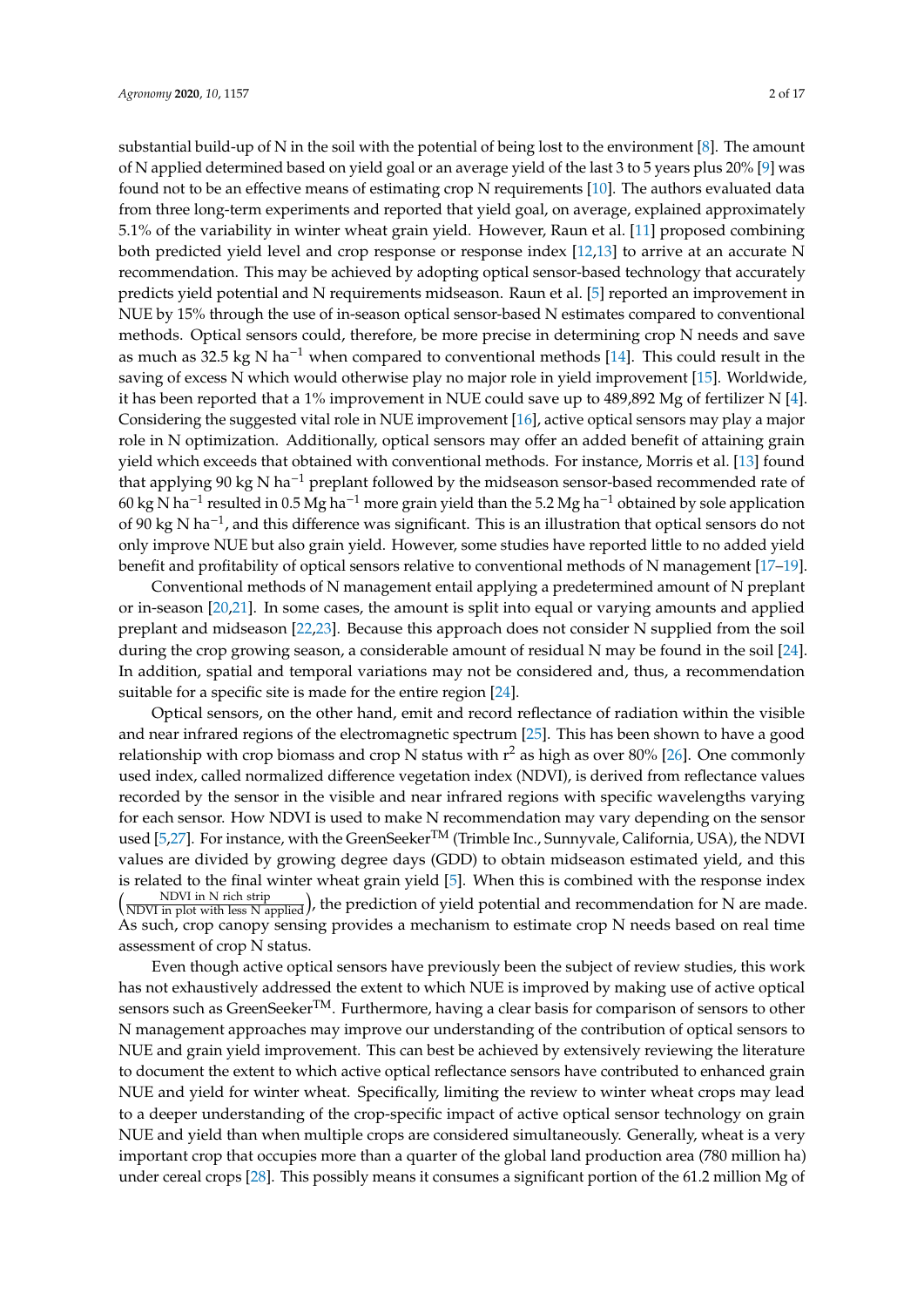substantial build-up of N in the soil with the potential of being lost to the environment [\[8\]](#page-13-4). The amount of N applied determined based on yield goal or an average yield of the last 3 to 5 years plus 20% [\[9\]](#page-13-5) was found not to be an effective means of estimating crop N requirements [\[10\]](#page-13-6). The authors evaluated data from three long-term experiments and reported that yield goal, on average, explained approximately 5.1% of the variability in winter wheat grain yield. However, Raun et al. [\[11\]](#page-13-7) proposed combining both predicted yield level and crop response or response index [\[12,](#page-13-8)[13\]](#page-13-9) to arrive at an accurate N recommendation. This may be achieved by adopting optical sensor-based technology that accurately predicts yield potential and N requirements midseason. Raun et al. [\[5\]](#page-13-2) reported an improvement in NUE by 15% through the use of in-season optical sensor-based N estimates compared to conventional methods. Optical sensors could, therefore, be more precise in determining crop N needs and save as much as 32.5 kg N ha<sup>-1</sup> when compared to conventional methods [\[14\]](#page-13-10). This could result in the saving of excess N which would otherwise play no major role in yield improvement [\[15\]](#page-13-11). Worldwide, it has been reported that a 1% improvement in NUE could save up to 489,892 Mg of fertilizer N [\[4\]](#page-13-1). Considering the suggested vital role in NUE improvement [\[16\]](#page-13-12), active optical sensors may play a major role in N optimization. Additionally, optical sensors may offer an added benefit of attaining grain yield which exceeds that obtained with conventional methods. For instance, Morris et al. [\[13\]](#page-13-9) found that applying 90 kg N ha<sup>-1</sup> preplant followed by the midseason sensor-based recommended rate of 60 kg N ha−<sup>1</sup> resulted in 0.5 Mg ha−<sup>1</sup> more grain yield than the 5.2 Mg ha−<sup>1</sup> obtained by sole application of 90 kg N ha−<sup>1</sup> , and this difference was significant. This is an illustration that optical sensors do not only improve NUE but also grain yield. However, some studies have reported little to no added yield benefit and profitability of optical sensors relative to conventional methods of N management [\[17–](#page-13-13)[19\]](#page-13-14).

Conventional methods of N management entail applying a predetermined amount of N preplant or in-season [\[20](#page-13-15)[,21\]](#page-13-16). In some cases, the amount is split into equal or varying amounts and applied preplant and midseason [\[22,](#page-13-17)[23\]](#page-13-18). Because this approach does not consider N supplied from the soil during the crop growing season, a considerable amount of residual N may be found in the soil [\[24\]](#page-13-19). In addition, spatial and temporal variations may not be considered and, thus, a recommendation suitable for a specific site is made for the entire region [\[24\]](#page-13-19).

Optical sensors, on the other hand, emit and record reflectance of radiation within the visible and near infrared regions of the electromagnetic spectrum [\[25\]](#page-13-20). This has been shown to have a good relationship with crop biomass and crop N status with  $r^2$  as high as over 80% [\[26\]](#page-13-21). One commonly used index, called normalized difference vegetation index (NDVI), is derived from reflectance values recorded by the sensor in the visible and near infrared regions with specific wavelengths varying for each sensor. How NDVI is used to make N recommendation may vary depending on the sensor used [\[5](#page-13-2)[,27\]](#page-14-0). For instance, with the GreenSeeker<sup>TM</sup> (Trimble Inc., Sunnyvale, California, USA), the NDVI values are divided by growing degree days (GDD) to obtain midseason estimated yield, and this is related to the final winter wheat grain yield [\[5\]](#page-13-2). When this is combined with the response index<br>( $\frac{NDVI \text{ in } N \text{ rich strip}}{N \text{ per mid strip}}$ ) the readistion of viold notential and resonance dation for N are made.  $\left(\frac{\text{NDVI in N rich strip}}{\text{NDVI in plot with less N applied}}\right)$ , the prediction of yield potential and recommendation for N are made. As such, crop canopy sensing provides a mechanism to estimate crop N needs based on real time assessment of crop N status.

Even though active optical sensors have previously been the subject of review studies, this work has not exhaustively addressed the extent to which NUE is improved by making use of active optical sensors such as GreenSeeker<sup>TM</sup>. Furthermore, having a clear basis for comparison of sensors to other N management approaches may improve our understanding of the contribution of optical sensors to NUE and grain yield improvement. This can best be achieved by extensively reviewing the literature to document the extent to which active optical reflectance sensors have contributed to enhanced grain NUE and yield for winter wheat. Specifically, limiting the review to winter wheat crops may lead to a deeper understanding of the crop-specific impact of active optical sensor technology on grain NUE and yield than when multiple crops are considered simultaneously. Generally, wheat is a very important crop that occupies more than a quarter of the global land production area (780 million ha) under cereal crops [\[28\]](#page-14-1). This possibly means it consumes a significant portion of the 61.2 million Mg of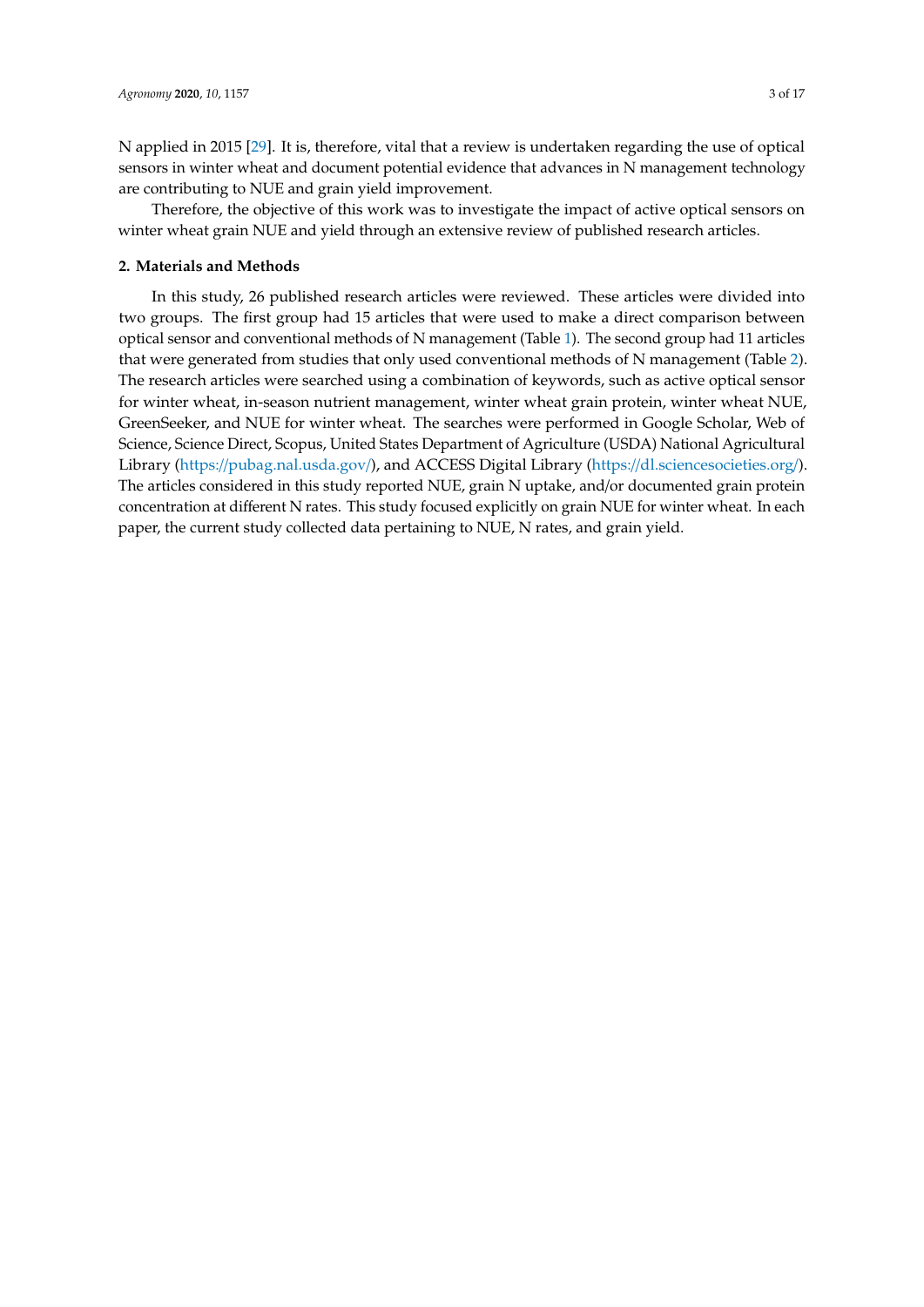N applied in 2015 [\[29\]](#page-14-2). It is, therefore, vital that a review is undertaken regarding the use of optical sensors in winter wheat and document potential evidence that advances in N management technology are contributing to NUE and grain yield improvement.

Therefore, the objective of this work was to investigate the impact of active optical sensors on winter wheat grain NUE and yield through an extensive review of published research articles.

## **2. Materials and Methods**

In this study, 26 published research articles were reviewed. These articles were divided into two groups. The first group had 15 articles that were used to make a direct comparison between optical sensor and conventional methods of N management (Table [1\)](#page-4-0). The second group had 11 articles that were generated from studies that only used conventional methods of N management (Table [2\)](#page-5-0). The research articles were searched using a combination of keywords, such as active optical sensor for winter wheat, in-season nutrient management, winter wheat grain protein, winter wheat NUE, GreenSeeker, and NUE for winter wheat. The searches were performed in Google Scholar, Web of Science, Science Direct, Scopus, United States Department of Agriculture (USDA) National Agricultural Library (https://[pubag.nal.usda.gov](https://pubag.nal.usda.gov/)/), and ACCESS Digital Library (https://[dl.sciencesocieties.org](https://dl.sciencesocieties.org/)/). The articles considered in this study reported NUE, grain N uptake, and/or documented grain protein concentration at different N rates. This study focused explicitly on grain NUE for winter wheat. In each paper, the current study collected data pertaining to NUE, N rates, and grain yield.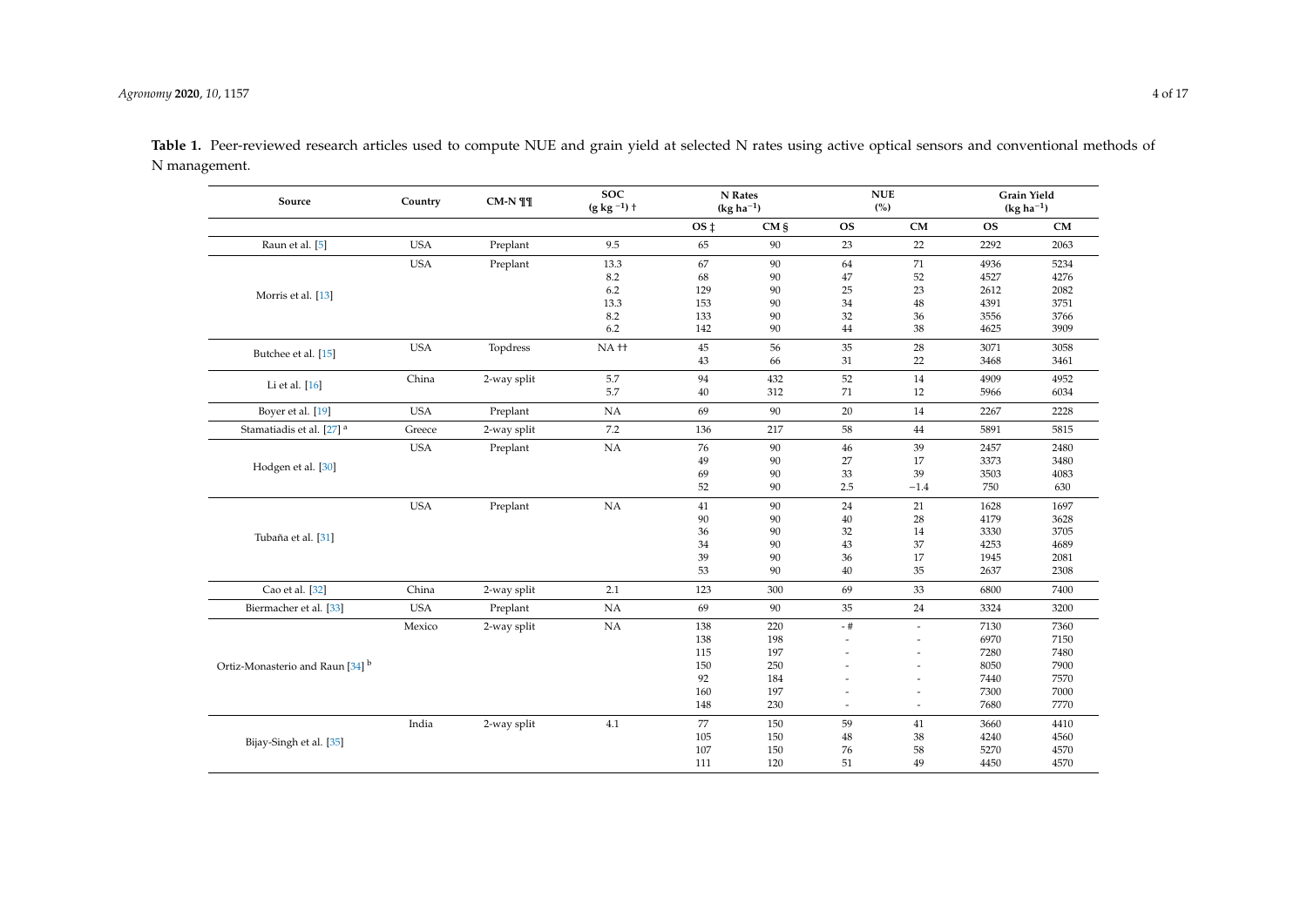| Source                               | Country    | CM-N ¶¶     | <b>SOC</b><br>$(g kg-1) +$ | N Rates<br>$(kg ha-1)$ |         | <b>NUE</b><br>(%) |                       | Grain Yield<br>$(kg ha-1)$ |           |
|--------------------------------------|------------|-------------|----------------------------|------------------------|---------|-------------------|-----------------------|----------------------------|-----------|
|                                      |            |             |                            | OS <sub>‡</sub>        | $CM \S$ | <b>OS</b>         | CM                    | <b>OS</b>                  | <b>CM</b> |
| Raun et al. [5]                      | <b>USA</b> | Preplant    | 9.5                        | 65                     | 90      | 23                | 22                    | 2292                       | 2063      |
|                                      | <b>USA</b> | Preplant    | 13.3                       | 67                     | 90      | 64                | 71                    | 4936                       | 5234      |
|                                      |            |             | 8.2                        | 68                     | 90      | 47                | 52                    | 4527                       | 4276      |
| Morris et al. [13]                   |            |             | 6.2                        | 129                    | 90      | 25                | 23                    | 2612                       | 2082      |
|                                      |            |             | 13.3                       | 153                    | 90      | 34                | $48\,$                | 4391                       | 3751      |
|                                      |            |             | 8.2                        | 133                    | 90      | 32                | 36                    | 3556                       | 3766      |
|                                      |            |             | 6.2                        | 142                    | 90      | 44                | 38                    | 4625                       | 3909      |
| Butchee et al. [15]                  | <b>USA</b> | Topdress    | NA <sup>++</sup>           | 45                     | 56      | 35                | 28                    | 3071                       | 3058      |
|                                      |            |             |                            | 43                     | 66      | 31                | $22\,$                | 3468                       | 3461      |
| Li et al. [16]                       | China      | 2-way split | 5.7                        | 94                     | 432     | 52                | 14                    | 4909                       | 4952      |
|                                      |            |             | 5.7                        | 40                     | 312     | 71                | 12                    | 5966                       | 6034      |
| Boyer et al. [19]                    | <b>USA</b> | Preplant    | NA                         | 69                     | 90      | 20                | 14                    | 2267                       | 2228      |
| Stamatiadis et al. [27] <sup>a</sup> | Greece     | 2-way split | 7.2                        | 136                    | 217     | 58                | 44                    | 5891                       | 5815      |
|                                      | <b>USA</b> | Preplant    | $_{\rm NA}$                | 76                     | 90      | 46                | 39                    | 2457                       | 2480      |
| Hodgen et al. [30]                   |            |             |                            | 49                     | 90      | 27                | 17                    | 3373                       | 3480      |
|                                      |            |             |                            | 69                     | 90      | 33                | 39                    | 3503                       | 4083      |
|                                      |            |             |                            | 52                     | 90      | 2.5               | $-1.4$                | 750                        | 630       |
|                                      | <b>USA</b> | Preplant    | NA                         | 41                     | 90      | 24                | 21                    | 1628                       | 1697      |
|                                      |            |             |                            | 90                     | 90      | 40                | 28                    | 4179                       | 3628      |
| Tubaña et al. [31]                   |            |             |                            | 36                     | 90      | 32                | 14                    | 3330                       | 3705      |
|                                      |            |             |                            | 34                     | 90      | 43                | 37                    | 4253                       | 4689      |
|                                      |            |             |                            | 39                     | 90      | 36                | 17                    | 1945                       | 2081      |
|                                      |            |             |                            | 53                     | 90      | 40                | 35                    | 2637                       | 2308      |
| Cao et al. [32]                      | China      | 2-way split | 2.1                        | 123                    | 300     | 69                | 33                    | 6800                       | 7400      |
| Biermacher et al. [33]               | <b>USA</b> | Preplant    | NA                         | 69                     | 90      | 35                | 24                    | 3324                       | 3200      |
|                                      | Mexico     | 2-way split | NA                         | 138                    | 220     | - #               | $\overline{a}$        | 7130                       | 7360      |
|                                      |            |             |                            | 138                    | 198     |                   | $\tilde{\phantom{a}}$ | 6970                       | 7150      |
|                                      |            |             |                            | 115                    | 197     |                   |                       | 7280                       | 7480      |
| Ortiz-Monasterio and Raun [34] b     |            |             |                            | 150                    | 250     |                   |                       | 8050                       | 7900      |
|                                      |            |             |                            | 92                     | 184     |                   |                       | 7440                       | 7570      |
|                                      |            |             |                            | 160                    | 197     |                   |                       | 7300                       | 7000      |
|                                      |            |             |                            | 148                    | 230     |                   | $\overline{a}$        | 7680                       | 7770      |
|                                      | India      | 2-way split | 4.1                        | 77                     | 150     | 59                | 41                    | 3660                       | 4410      |
| Bijay-Singh et al. [35]              |            |             |                            | 105                    | 150     | $48\,$            | $38\,$                | 4240                       | 4560      |
|                                      |            |             |                            | 107                    | 150     | 76                | 58                    | 5270                       | 4570      |
|                                      |            |             |                            | 111                    | 120     | 51                | 49                    | 4450                       | 4570      |

Table 1. Peer-reviewed research articles used to compute NUE and grain yield at selected N rates using active optical sensors and conventional methods of N management.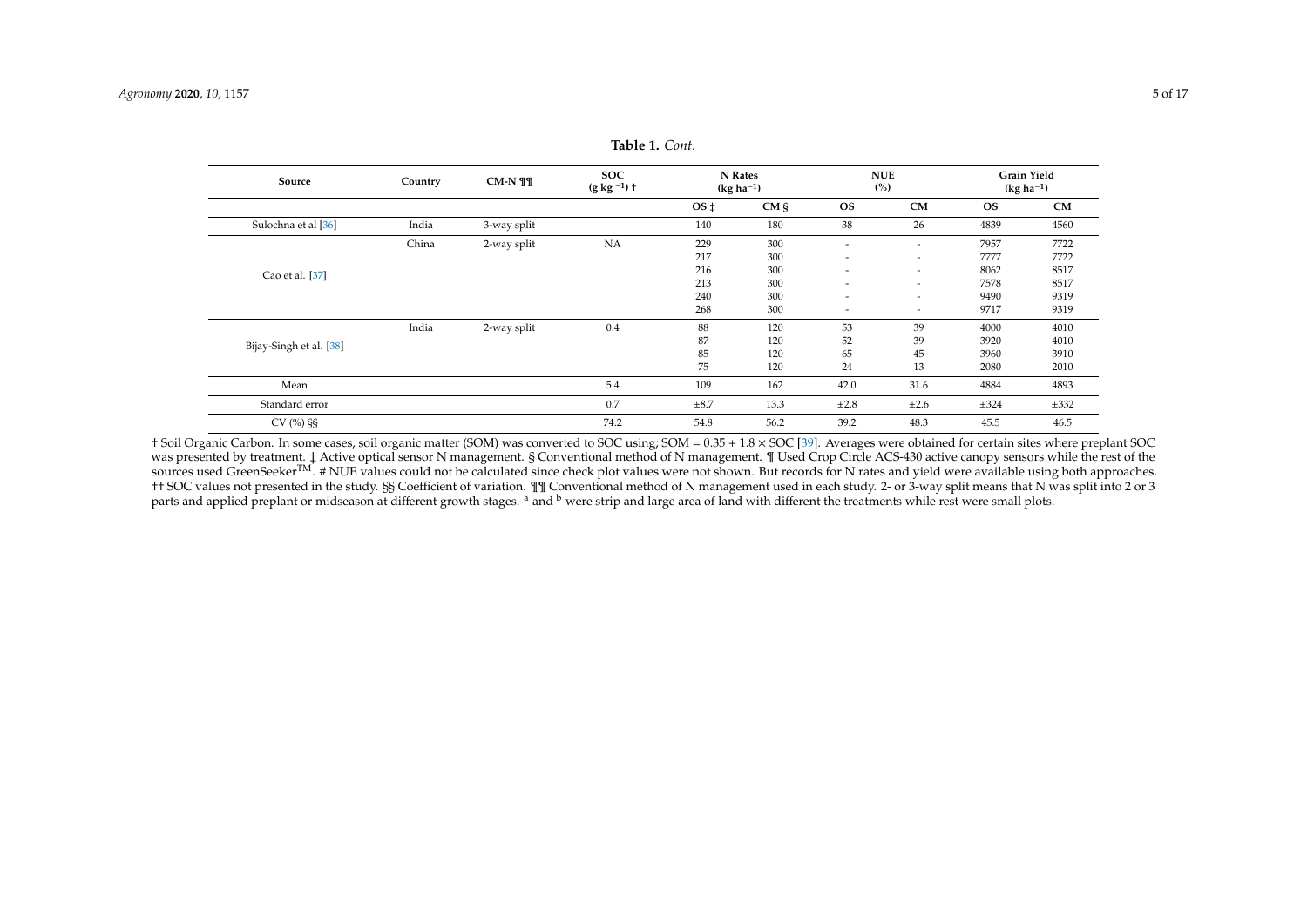| Source                  | Country | $CM-N$ ¶¶   | <b>SOC</b><br>(g kg $^{-1})$ $\dagger$ |                 | N Rates<br>$(kg ha^{-1})$ |                          | <b>NUE</b><br>(%)        | $(kg ha-1)$ | <b>Grain Yield</b> |
|-------------------------|---------|-------------|----------------------------------------|-----------------|---------------------------|--------------------------|--------------------------|-------------|--------------------|
|                         |         |             |                                        | OS <sub>1</sub> | $CM \S$                   | <b>OS</b>                | CM                       | <b>OS</b>   | CM                 |
| Sulochna et al [36]     | India   | 3-way split |                                        | 140             | 180                       | 38                       | 26                       | 4839        | 4560               |
|                         | China   | 2-way split | <b>NA</b>                              | 229             | 300                       | $\overline{\phantom{a}}$ | $\overline{\phantom{a}}$ | 7957        | 7722               |
|                         |         |             |                                        | 217             | 300                       | $\overline{\phantom{a}}$ | $\overline{\phantom{a}}$ | 7777        | 7722               |
| Cao et al. [37]         |         |             |                                        | 216             | 300                       | $\overline{\phantom{a}}$ | $\overline{\phantom{a}}$ | 8062        | 8517               |
|                         |         |             |                                        | 213             | 300                       | $\overline{\phantom{a}}$ | $\overline{\phantom{a}}$ | 7578        | 8517               |
|                         |         |             |                                        | 240             | 300                       | $\overline{\phantom{a}}$ | $\overline{\phantom{a}}$ | 9490        | 9319               |
|                         |         |             |                                        | 268             | 300                       | $\overline{\phantom{a}}$ | $\overline{\phantom{a}}$ | 9717        | 9319               |
|                         | India   | 2-way split | 0.4                                    | 88              | 120                       | 53                       | 39                       | 4000        | 4010               |
| Bijay-Singh et al. [38] |         |             |                                        | 87              | 120                       | 52                       | 39                       | 3920        | 4010               |
|                         |         |             |                                        | 85              | 120                       | 65                       | 45                       | 3960        | 3910               |
|                         |         |             |                                        | 75              | 120                       | 24                       | 13                       | 2080        | 2010               |
| Mean                    |         |             | 5.4                                    | 109             | 162                       | 42.0                     | 31.6                     | 4884        | 4893               |
| Standard error          |         |             | 0.7                                    | $\pm 8.7$       | 13.3                      | ±2.8                     | ±2.6                     | $\pm 324$   | ±332               |
| $CV$ (%) §§             |         |             | 74.2                                   | 54.8            | 56.2                      | 39.2                     | 48.3                     | 45.5        | 46.5               |

**Table 1.** *Cont.*

<span id="page-4-0"></span>† Soil Organic Carbon. In some cases, soil organic matter (SOM) was converted to SOC using; SOM = 0.35 + 1.8 × SOC [\[39\]](#page-14-13). Averages were obtained for certain sites where preplant SOC was presented by treatment. ‡ Active optical sensor N management. § Conventional method of N management. ¶ Used Crop Circle ACS-430 active canopy sensors while the rest of the sources used GreenSeeker<sup>TM</sup>. # NUE values could not be calculated since check plot values were not shown. But records for N rates and yield were available using both approaches. †† SOC values not presented in the study. §§ Coefficient of variation. ¶¶ Conventional method of N management used in each study. 2- or 3-way split means that N was split into 2 or 3 parts and applied preplant or midseason at different growth stages. <sup>a</sup> and <sup>b</sup> were strip and large area of land with different the treatments while rest were small plots.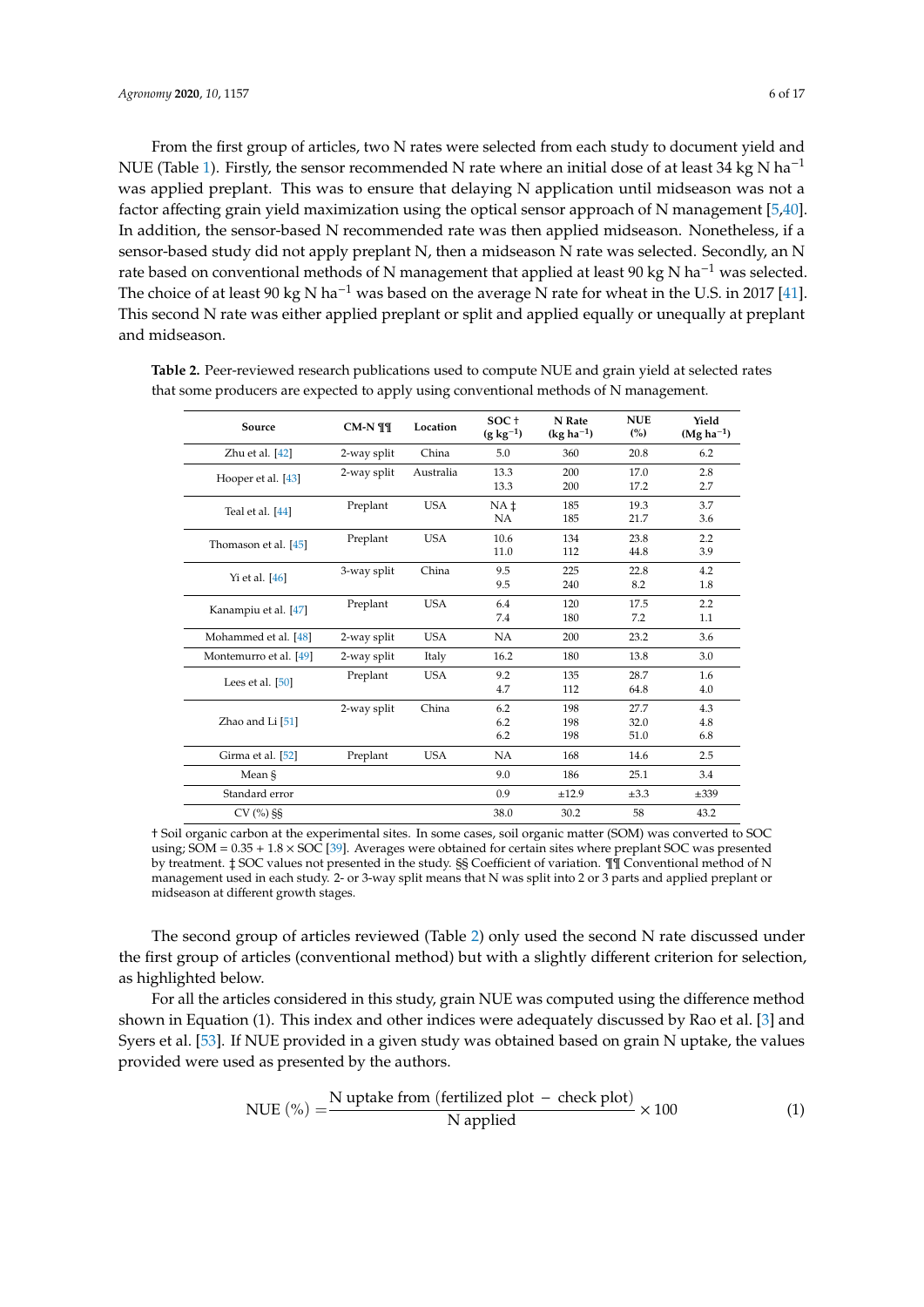From the first group of articles, two N rates were selected from each study to document yield and NUE (Table [1\)](#page-4-0). Firstly, the sensor recommended N rate where an initial dose of at least 34 kg N ha<sup>-1</sup> was applied preplant. This was to ensure that delaying N application until midseason was not a factor affecting grain yield maximization using the optical sensor approach of N management [\[5,](#page-13-2)[40\]](#page-14-14). In addition, the sensor-based N recommended rate was then applied midseason. Nonetheless, if a sensor-based study did not apply preplant N, then a midseason N rate was selected. Secondly, an N rate based on conventional methods of N management that applied at least 90 kg N ha<sup> $-1$ </sup> was selected. The choice of at least 90 kg N ha<sup>-1</sup> was based on the average N rate for wheat in the U.S. in 2017 [\[41\]](#page-14-15). This second N rate was either applied preplant or split and applied equally or unequally at preplant and midseason.

| Source                 | $CM-N$ ¶¶   | Location   | SOC+<br>$(g \, kg^{-1})$ | N Rate<br>$(kg ha-1)$ | <b>NUE</b><br>(%)    | Yield<br>$(Mg ha-1)$ |
|------------------------|-------------|------------|--------------------------|-----------------------|----------------------|----------------------|
| Zhu et al. [42]        | 2-way split | China      | 5.0                      | 360                   | 20.8                 | 6.2                  |
| Hooper et al. [43]     | 2-way split | Australia  | 13.3<br>13.3             | 200<br>200            | 17.0<br>17.2         | 2.8<br>2.7           |
| Teal et al. [44]       | Preplant    | <b>USA</b> | NA <sub>t</sub><br>NA    | 185<br>185            | 19.3<br>21.7         | 3.7<br>3.6           |
| Thomason et al. [45]   | Preplant    | <b>USA</b> | 10.6<br>11.0             | 134<br>112            | 23.8<br>44.8         | 2.2<br>3.9           |
| Yi et al. $[46]$       | 3-way split | China      | 9.5<br>9.5               | 225<br>240            | 22.8<br>8.2          | 4.2<br>1.8           |
| Kanampiu et al. [47]   | Preplant    | <b>USA</b> | 6.4<br>7.4               | 120<br>180            | 17.5<br>7.2          | 2.2<br>1.1           |
| Mohammed et al. [48]   | 2-way split | <b>USA</b> | <b>NA</b>                | 200                   | 23.2                 | 3.6                  |
| Montemurro et al. [49] | 2-way split | Italy      | 16.2                     | 180                   | 13.8                 | 3.0                  |
| Lees et al. $[50]$     | Preplant    | <b>USA</b> | 9.2<br>4.7               | 135<br>112            | 28.7<br>64.8         | 1.6<br>4.0           |
| Zhao and Li $[51]$     | 2-way split | China      | 6.2<br>6.2<br>6.2        | 198<br>198<br>198     | 27.7<br>32.0<br>51.0 | 4.3<br>4.8<br>6.8    |
| Girma et al. [52]      | Preplant    | <b>USA</b> | <b>NA</b>                | 168                   | 14.6                 | 2.5                  |
| Mean §                 |             |            | 9.0                      | 186                   | 25.1                 | 3.4                  |
| Standard error         |             |            | 0.9                      | ±12.9                 | $\pm 3.3$            | $\pm 339$            |
| $CV(%)$ §§             |             |            | 38.0                     | 30.2                  | 58                   | 43.2                 |

<span id="page-5-0"></span>**Table 2.** Peer-reviewed research publications used to compute NUE and grain yield at selected rates that some producers are expected to apply using conventional methods of N management.

† Soil organic carbon at the experimental sites. In some cases, soil organic matter (SOM) was converted to SOC using;  $SOM = 0.35 + 1.8 \times SOC$  [\[39\]](#page-14-23). Averages were obtained for certain sites where preplant SOC was presented by treatment. ‡ SOC values not presented in the study. §§ Coefficient of variation. ¶¶ Conventional method of N management used in each study. 2- or 3-way split means that N was split into 2 or 3 parts and applied preplant or midseason at different growth stages.

The second group of articles reviewed (Table [2\)](#page-5-0) only used the second N rate discussed under the first group of articles (conventional method) but with a slightly different criterion for selection, as highlighted below.

For all the articles considered in this study, grain NUE was computed using the difference method shown in Equation (1). This index and other indices were adequately discussed by Rao et al. [\[3\]](#page-13-0) and Syers et al. [\[53\]](#page-15-4). If NUE provided in a given study was obtained based on grain N uptake, the values provided were used as presented by the authors.

$$
NUE (%) = \frac{N \text{ uptake from (fertilized plot - check plot)}}{N \text{ applied}} \times 100
$$
 (1)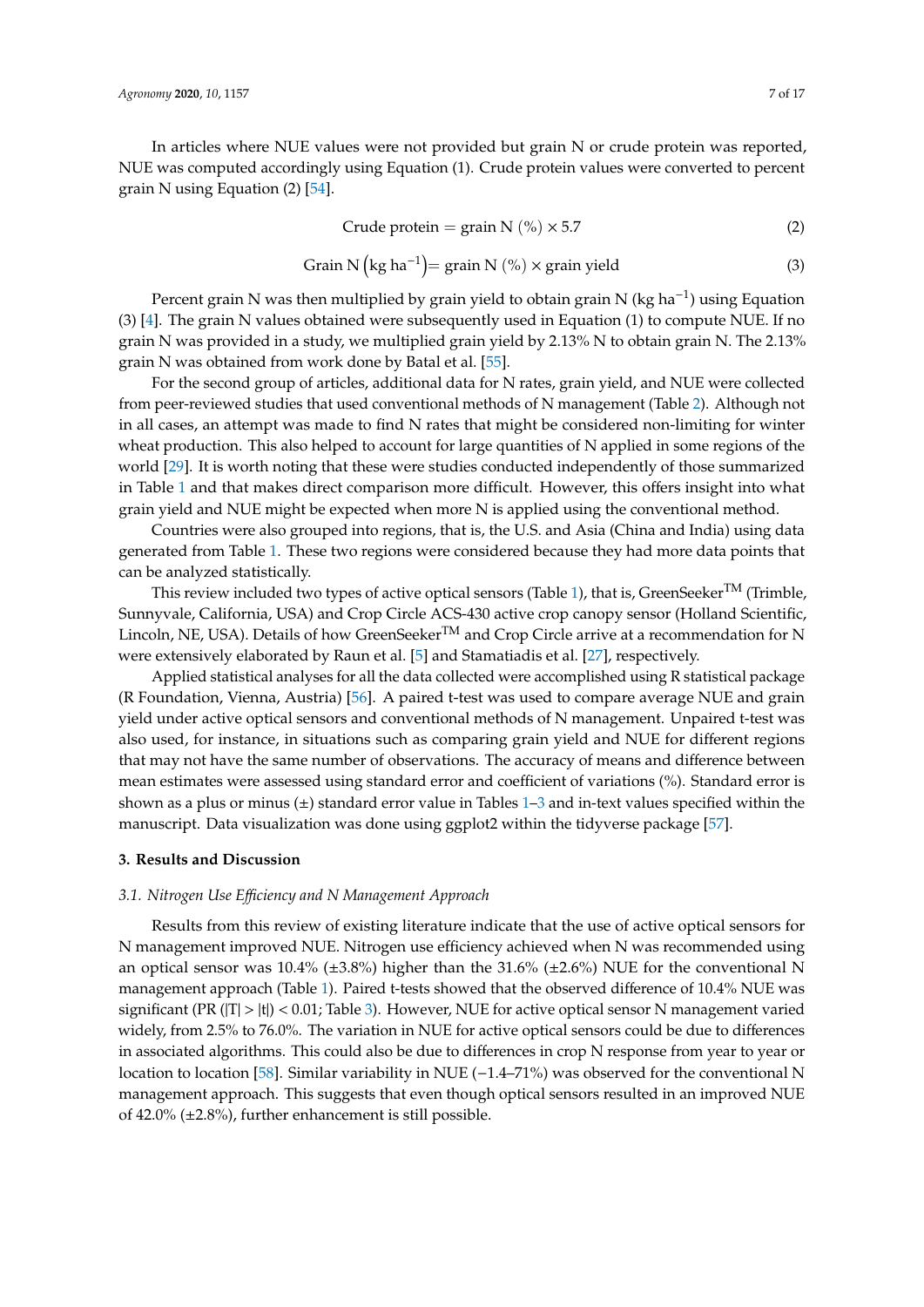In articles where NUE values were not provided but grain N or crude protein was reported, NUE was computed accordingly using Equation (1). Crude protein values were converted to percent grain N using Equation (2) [\[54\]](#page-15-5).

$$
Crude protein = grain N (%) \times 5.7
$$
 (2)

$$
Grain N (kg ha-1) = grain N (%) \times grain yield
$$
 (3)

Percent grain N was then multiplied by grain yield to obtain grain N (kg ha<sup>-1</sup>) using Equation (3) [\[4\]](#page-13-1). The grain N values obtained were subsequently used in Equation (1) to compute NUE. If no grain N was provided in a study, we multiplied grain yield by 2.13% N to obtain grain N. The 2.13% grain N was obtained from work done by Batal et al. [\[55\]](#page-15-6).

For the second group of articles, additional data for N rates, grain yield, and NUE were collected from peer-reviewed studies that used conventional methods of N management (Table [2\)](#page-5-0). Although not in all cases, an attempt was made to find N rates that might be considered non-limiting for winter wheat production. This also helped to account for large quantities of N applied in some regions of the world [\[29\]](#page-14-2). It is worth noting that these were studies conducted independently of those summarized in Table [1](#page-4-0) and that makes direct comparison more difficult. However, this offers insight into what grain yield and NUE might be expected when more N is applied using the conventional method.

Countries were also grouped into regions, that is, the U.S. and Asia (China and India) using data generated from Table [1.](#page-4-0) These two regions were considered because they had more data points that can be analyzed statistically.

This review included two types of active optical sensors (Table [1\)](#page-4-0), that is, GreenSeeker<sup>TM</sup> (Trimble, Sunnyvale, California, USA) and Crop Circle ACS-430 active crop canopy sensor (Holland Scientific, Lincoln, NE, USA). Details of how GreenSeeker<sup>TM</sup> and Crop Circle arrive at a recommendation for N were extensively elaborated by Raun et al. [\[5\]](#page-13-2) and Stamatiadis et al. [\[27\]](#page-14-0), respectively.

Applied statistical analyses for all the data collected were accomplished using R statistical package (R Foundation, Vienna, Austria) [\[56\]](#page-15-7). A paired t-test was used to compare average NUE and grain yield under active optical sensors and conventional methods of N management. Unpaired t-test was also used, for instance, in situations such as comparing grain yield and NUE for different regions that may not have the same number of observations. The accuracy of means and difference between mean estimates were assessed using standard error and coefficient of variations (%). Standard error is shown as a plus or minus  $(\pm)$  standard error value in Tables [1](#page-4-0)[–3](#page-8-0) and in-text values specified within the manuscript. Data visualization was done using ggplot2 within the tidyverse package [\[57\]](#page-15-8).

## **3. Results and Discussion**

## *3.1. Nitrogen Use E*ffi*ciency and N Management Approach*

Results from this review of existing literature indicate that the use of active optical sensors for N management improved NUE. Nitrogen use efficiency achieved when N was recommended using an optical sensor was 10.4% ( $\pm$ 3.8%) higher than the 31.6% ( $\pm$ 2.6%) NUE for the conventional N management approach (Table [1\)](#page-4-0). Paired t-tests showed that the observed difference of 10.4% NUE was significant (PR ( $|T| > |t|$ ) < 0.01; Table [3\)](#page-8-0). However, NUE for active optical sensor N management varied widely, from 2.5% to 76.0%. The variation in NUE for active optical sensors could be due to differences in associated algorithms. This could also be due to differences in crop N response from year to year or location to location [\[58\]](#page-15-9). Similar variability in NUE (−1.4–71%) was observed for the conventional N management approach. This suggests that even though optical sensors resulted in an improved NUE of 42.0% (±2.8%), further enhancement is still possible.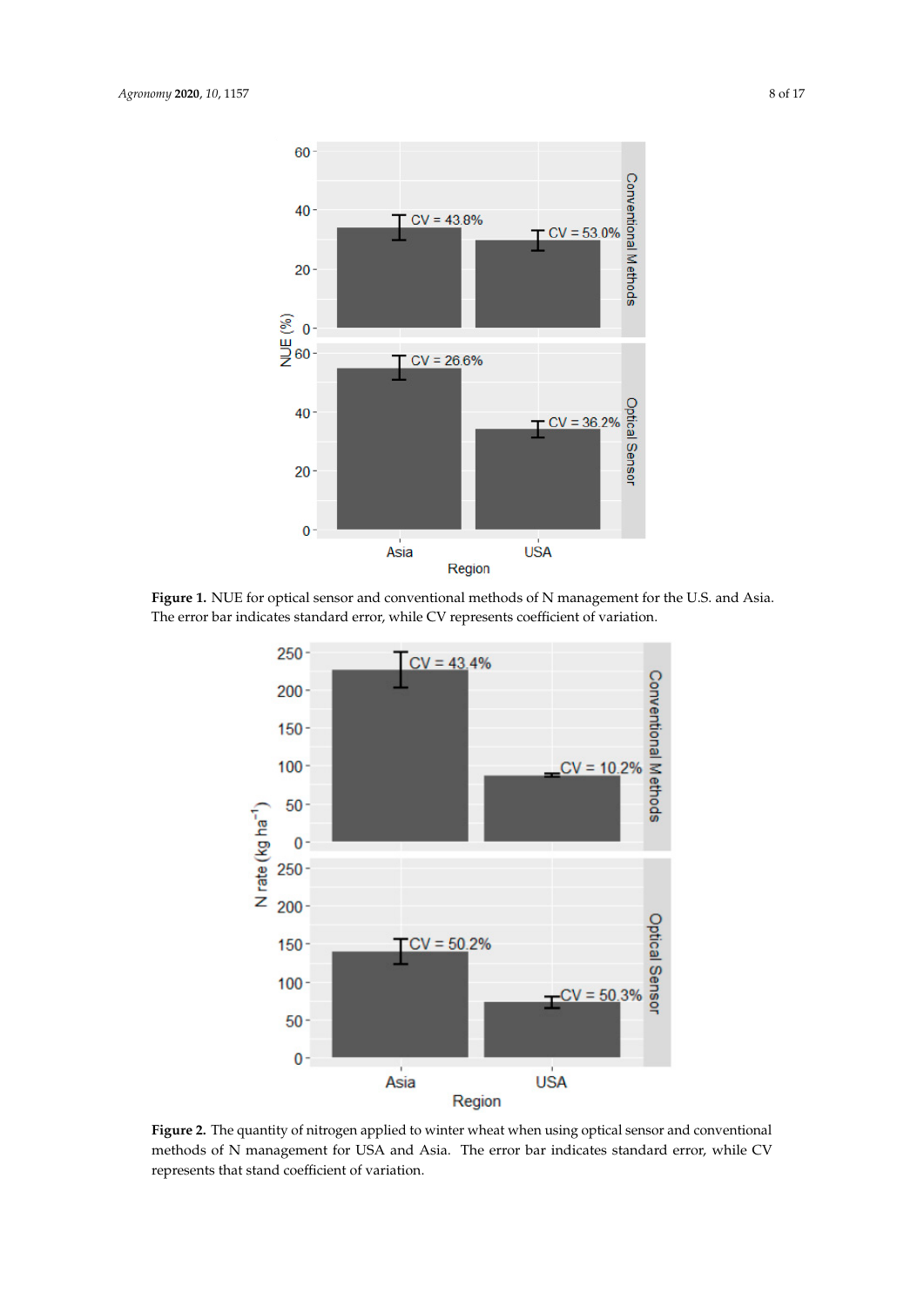<span id="page-7-0"></span>

<span id="page-7-1"></span>Figure 1. NUE for optical sensor and conventional methods of N management for the U.S. and Asia. The error bar indicates standard error, while CV represents coefficient of variation.



**Figure 2.** The quantity of nitrogen applied to winter wheat when using optical sensor and **Figure 2.** The quantity of nitrogen applied to winter wheat when using optical sensor and conventional methods of N management for USA and Asia. The error bar indicates standard error, while CV represents that stand coefficient of variation.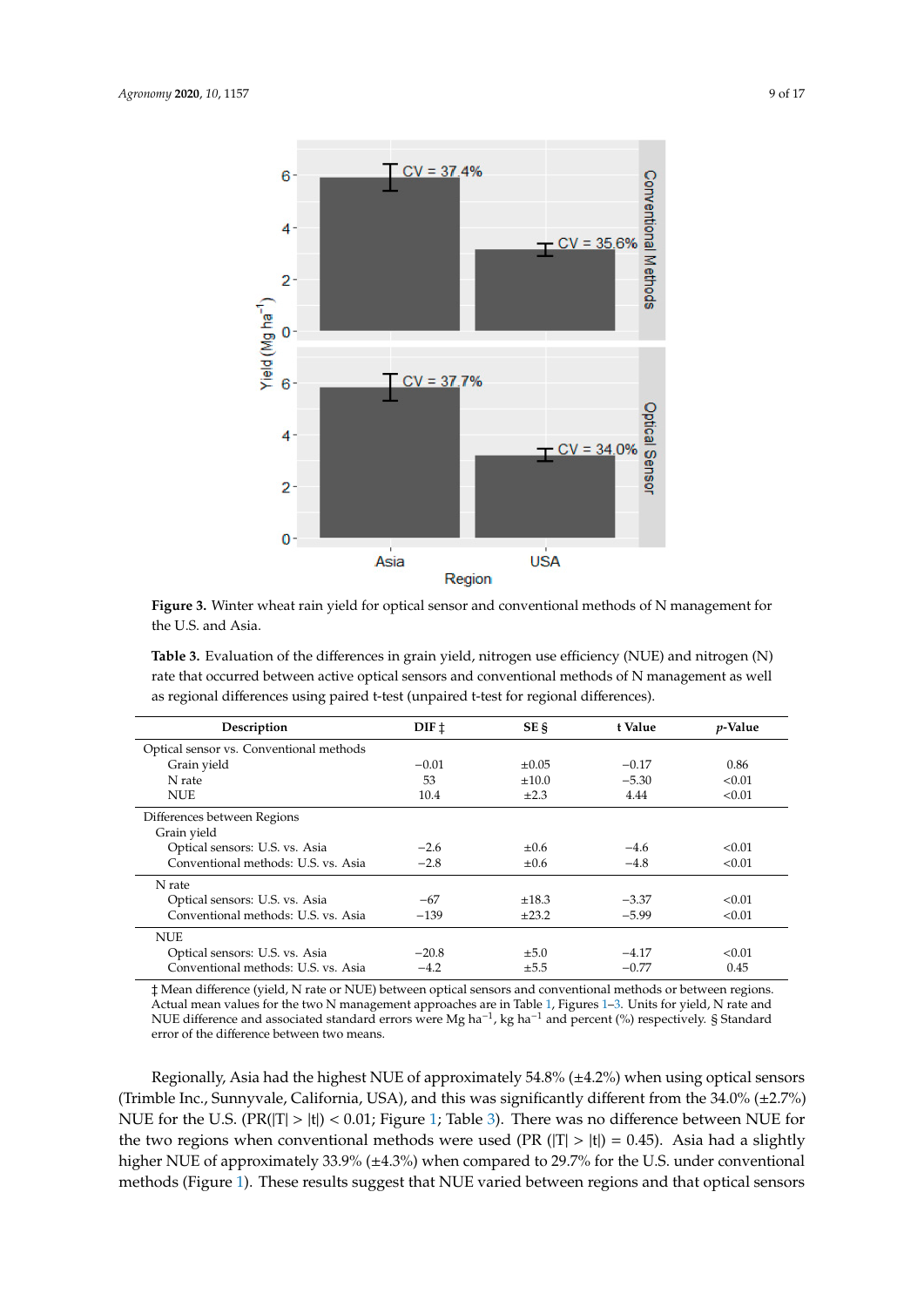<span id="page-8-1"></span>

**Figure 3.** Winter wheat rain yield for optical sensor and conventional methods of N management for the U.S. and Asia. the U.S. and Asia.

<span id="page-8-0"></span>rate that occurred between active optical sensors and conventional methods of N management as well as regional differences using paired t-test (unpaired t-test for regional differences). **Table 3.** Evaluation of the differences in grain yield, nitrogen use efficiency (NUE) and nitrogen (N)

| Description                             | DIF <sub>1</sub> | SE §       | t Value | $p$ -Value |
|-----------------------------------------|------------------|------------|---------|------------|
| Optical sensor vs. Conventional methods |                  |            |         |            |
| Grain yield                             | $-0.01$          | $\pm 0.05$ | $-0.17$ | 0.86       |
| N rate                                  | 53               | ±10.0      | $-5.30$ | < 0.01     |
| <b>NUE</b>                              | 10.4             | $\pm 2.3$  | 4.44    | < 0.01     |
| Differences between Regions             |                  |            |         |            |
| Grain yield                             |                  |            |         |            |
| Optical sensors: U.S. vs. Asia          | $-2.6$           | $\pm 0.6$  | $-4.6$  | < 0.01     |
| Conventional methods: U.S. vs. Asia     | $-2.8$           | $\pm 0.6$  | $-4.8$  | < 0.01     |
| N rate                                  |                  |            |         |            |
| Optical sensors: U.S. vs. Asia          | $-67$            | $\pm 18.3$ | $-3.37$ | < 0.01     |
| Conventional methods: U.S. vs. Asia     | $-139$           | $+23.2$    | $-5.99$ | < 0.01     |
| <b>NUE</b>                              |                  |            |         |            |
| Optical sensors: U.S. vs. Asia          | $-20.8$          | $\pm 5.0$  | $-4.17$ | < 0.01     |
| Conventional methods: U.S. vs. Asia     | $-4.2$           | $\pm 5.5$  | $-0.77$ | 0.45       |

‡ Mean difference (yield, N rate or NUE) between optical sensors and conventional methods or between regions. Actual mean values for the two N management approaches are in Table [1,](#page-4-0) Figures [1–](#page-7-0)[3.](#page-8-1) Units for yield, N rate and<br>NUE difference and associated standard errors were Mg ha<sup>-1</sup>, kg ha<sup>-1</sup> and percent (%) respectively. § Standa error of the difference between two means.

Regionally, Asia had the highest NUE of approximately 54.8% (±4.2%) when using optical sensors (Trimble Inc., Sunnyvale, California, USA), and this was significantly different from the 34.0% (±2.7%) NUE for the U.S. (PR(|T| > |t|) < 0.01; Figure 1; Table 3). There was no difference between NUE for the two regions when conventional methods were used (PR ( $|T| > |t|$ ) = 0.45). Asia had a slightly higher NUE of approximately 33.9% (±4.3%) when compared to 29.7% for the U.S. under conventional methods (Figure [1\)](#page-7-0). These results suggest that NUE varied between regions and that optical sensors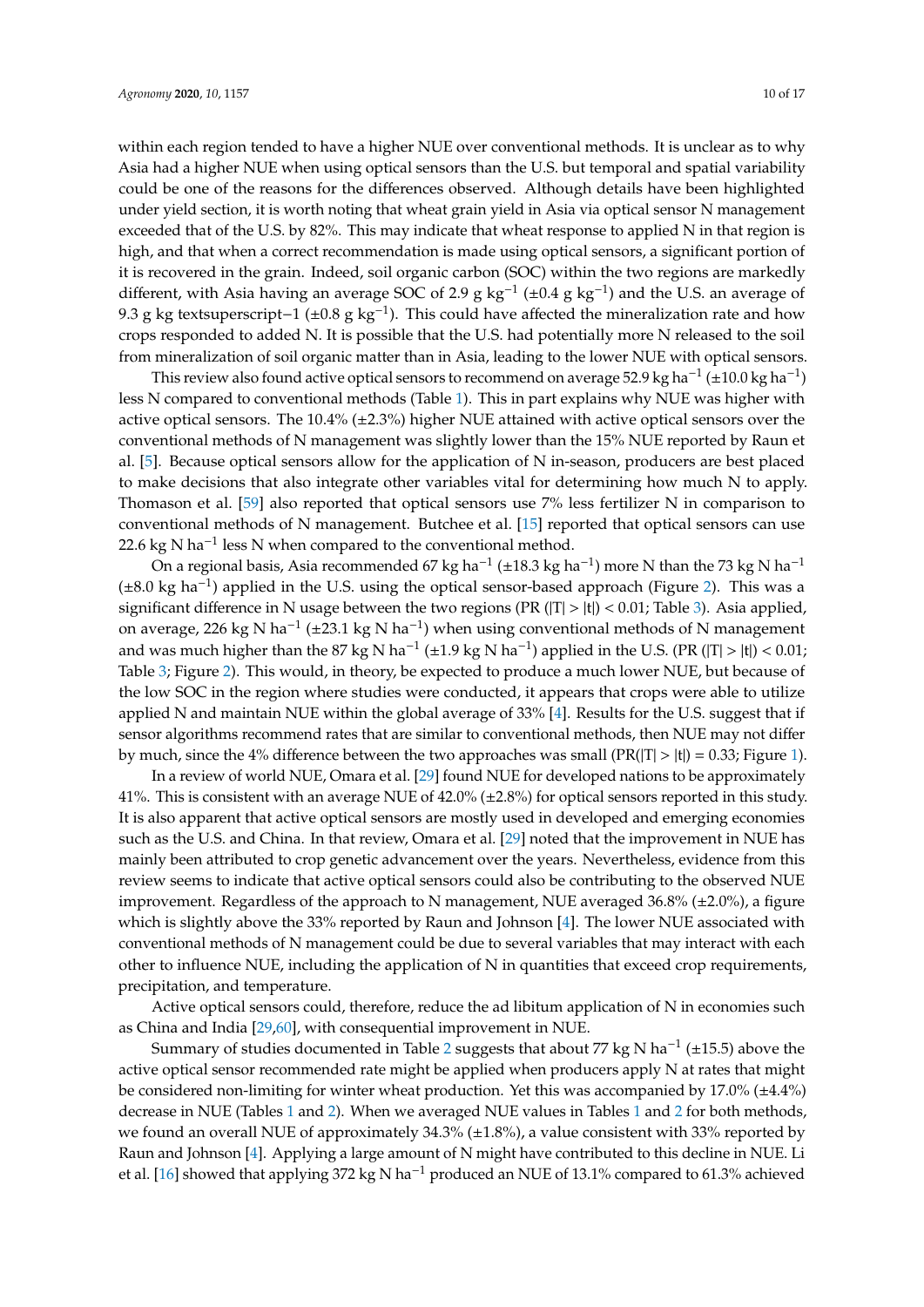within each region tended to have a higher NUE over conventional methods. It is unclear as to why Asia had a higher NUE when using optical sensors than the U.S. but temporal and spatial variability could be one of the reasons for the differences observed. Although details have been highlighted under yield section, it is worth noting that wheat grain yield in Asia via optical sensor N management exceeded that of the U.S. by 82%. This may indicate that wheat response to applied N in that region is high, and that when a correct recommendation is made using optical sensors, a significant portion of it is recovered in the grain. Indeed, soil organic carbon (SOC) within the two regions are markedly different, with Asia having an average SOC of 2.9 g kg<sup>-1</sup> (±0.4 g kg<sup>-1</sup>) and the U.S. an average of 9.3 g kg textsuperscript-1 (±0.8 g kg<sup>-1</sup>). This could have affected the mineralization rate and how crops responded to added N. It is possible that the U.S. had potentially more N released to the soil from mineralization of soil organic matter than in Asia, leading to the lower NUE with optical sensors.

This review also found active optical sensors to recommend on average 52.9 kg ha<sup>-1</sup> (±10.0 kg ha<sup>-1</sup>) less N compared to conventional methods (Table [1\)](#page-4-0). This in part explains why NUE was higher with active optical sensors. The 10.4% (±2.3%) higher NUE attained with active optical sensors over the conventional methods of N management was slightly lower than the 15% NUE reported by Raun et al. [\[5\]](#page-13-2). Because optical sensors allow for the application of N in-season, producers are best placed to make decisions that also integrate other variables vital for determining how much N to apply. Thomason et al. [\[59\]](#page-15-10) also reported that optical sensors use 7% less fertilizer N in comparison to conventional methods of N management. Butchee et al. [\[15\]](#page-13-11) reported that optical sensors can use 22.6 kg N ha<sup>-1</sup> less N when compared to the conventional method.

On a regional basis, Asia recommended 67 kg ha<sup>-1</sup> (±18.3 kg ha<sup>-1</sup>) more N than the 73 kg N ha<sup>-1</sup> (±8.0 kg ha−<sup>1</sup> ) applied in the U.S. using the optical sensor-based approach (Figure [2\)](#page-7-1). This was a significant difference in N usage between the two regions (PR  $(|T| > |t|) < 0.01$ ; Table [3\)](#page-8-0). Asia applied, on average, 226 kg N ha−<sup>1</sup> (±23.1 kg N ha−<sup>1</sup> ) when using conventional methods of N management and was much higher than the 87 kg N ha<sup>-1</sup> (±1.9 kg N ha<sup>-1</sup>) applied in the U.S. (PR (|T| > |t|) < 0.01; Table [3;](#page-8-0) Figure [2\)](#page-7-1). This would, in theory, be expected to produce a much lower NUE, but because of the low SOC in the region where studies were conducted, it appears that crops were able to utilize applied N and maintain NUE within the global average of 33% [\[4\]](#page-13-1). Results for the U.S. suggest that if sensor algorithms recommend rates that are similar to conventional methods, then NUE may not differ by much, since the 4% difference between the two approaches was small  $(\text{PR}(|T| > |t|) = 0.33; \text{ Figure 1}).$ 

In a review of world NUE, Omara et al. [\[29\]](#page-14-2) found NUE for developed nations to be approximately 41%. This is consistent with an average NUE of 42.0% (±2.8%) for optical sensors reported in this study. It is also apparent that active optical sensors are mostly used in developed and emerging economies such as the U.S. and China. In that review, Omara et al. [\[29\]](#page-14-2) noted that the improvement in NUE has mainly been attributed to crop genetic advancement over the years. Nevertheless, evidence from this review seems to indicate that active optical sensors could also be contributing to the observed NUE improvement. Regardless of the approach to N management, NUE averaged  $36.8\%$  ( $\pm 2.0\%$ ), a figure which is slightly above the 33% reported by Raun and Johnson [\[4\]](#page-13-1). The lower NUE associated with conventional methods of N management could be due to several variables that may interact with each other to influence NUE, including the application of N in quantities that exceed crop requirements, precipitation, and temperature.

Active optical sensors could, therefore, reduce the ad libitum application of N in economies such as China and India [\[29,](#page-14-2)[60\]](#page-15-11), with consequential improvement in NUE.

Summary of studies documented in Table [2](#page-5-0) suggests that about 77 kg N ha<sup>-1</sup> (±15.5) above the active optical sensor recommended rate might be applied when producers apply N at rates that might be considered non-limiting for winter wheat production. Yet this was accompanied by 17.0% (±4.4%) decrease in NUE (Tables [1](#page-4-0) and [2\)](#page-5-0). When we averaged NUE values in Tables [1](#page-4-0) and [2](#page-5-0) for both methods, we found an overall NUE of approximately  $34.3\%$  ( $\pm 1.8\%$ ), a value consistent with 33% reported by Raun and Johnson [\[4\]](#page-13-1). Applying a large amount of N might have contributed to this decline in NUE. Li et al. [\[16\]](#page-13-12) showed that applying 372 kg N ha<sup>-1</sup> produced an NUE of 13.1% compared to 61.3% achieved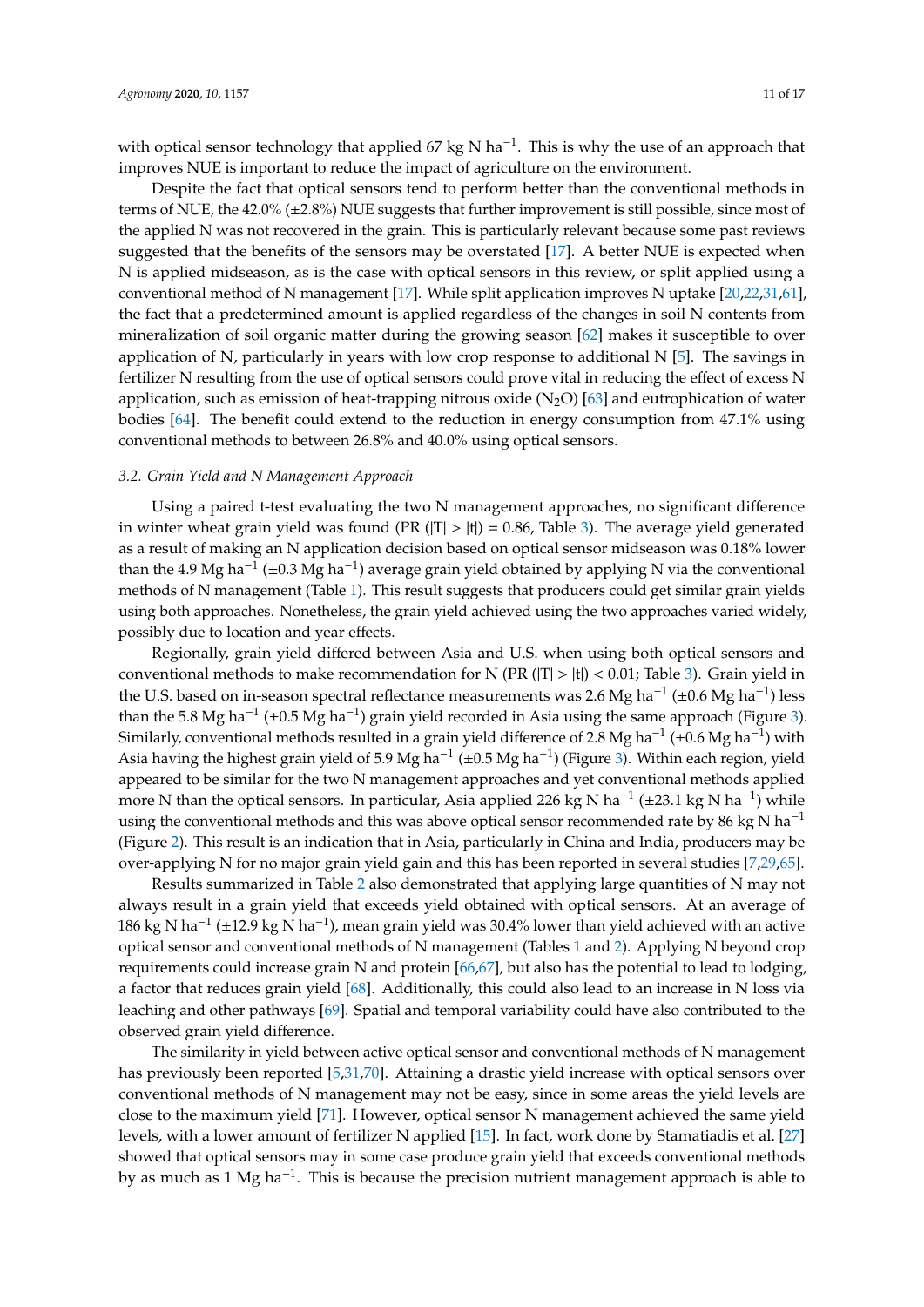with optical sensor technology that applied 67 kg N ha<sup>-1</sup>. This is why the use of an approach that improves NUE is important to reduce the impact of agriculture on the environment.

Despite the fact that optical sensors tend to perform better than the conventional methods in terms of NUE, the 42.0% (±2.8%) NUE suggests that further improvement is still possible, since most of the applied N was not recovered in the grain. This is particularly relevant because some past reviews suggested that the benefits of the sensors may be overstated [\[17\]](#page-13-13). A better NUE is expected when N is applied midseason, as is the case with optical sensors in this review, or split applied using a conventional method of N management [\[17\]](#page-13-13). While split application improves N uptake [\[20](#page-13-15)[,22](#page-13-17)[,31](#page-14-24)[,61\]](#page-15-12), the fact that a predetermined amount is applied regardless of the changes in soil N contents from mineralization of soil organic matter during the growing season [\[62\]](#page-15-13) makes it susceptible to over application of N, particularly in years with low crop response to additional N [\[5\]](#page-13-2). The savings in fertilizer N resulting from the use of optical sensors could prove vital in reducing the effect of excess N application, such as emission of heat-trapping nitrous oxide  $(N_2O)$  [\[63\]](#page-15-14) and eutrophication of water bodies [\[64\]](#page-15-15). The benefit could extend to the reduction in energy consumption from 47.1% using conventional methods to between 26.8% and 40.0% using optical sensors.

#### *3.2. Grain Yield and N Management Approach*

Using a paired t-test evaluating the two N management approaches, no significant difference in winter wheat grain yield was found (PR ( $|T| > |t|$ ) = 0.86, Table [3\)](#page-8-0). The average yield generated as a result of making an N application decision based on optical sensor midseason was 0.18% lower than the 4.9 Mg ha<sup>-1</sup> (±0.3 Mg ha<sup>-1</sup>) average grain yield obtained by applying N via the conventional methods of N management (Table [1\)](#page-4-0). This result suggests that producers could get similar grain yields using both approaches. Nonetheless, the grain yield achieved using the two approaches varied widely, possibly due to location and year effects.

Regionally, grain yield differed between Asia and U.S. when using both optical sensors and conventional methods to make recommendation for N ( $PR(|T| > |t|) < 0.01$ ; Table [3\)](#page-8-0). Grain yield in the U.S. based on in-season spectral reflectance measurements was 2.6 Mg ha<sup>-1</sup> (±0.6 Mg ha<sup>-1</sup>) less than the 5.8 Mg ha<sup>-1</sup> (±0.5 Mg ha<sup>-1</sup>) grain yield recorded in Asia using the same approach (Figure [3\)](#page-8-1). Similarly, conventional methods resulted in a grain yield difference of 2.8 Mg ha<sup>-1</sup> (±0.6 Mg ha<sup>-1</sup>) with Asia having the highest grain yield of 5.9 Mg ha−<sup>1</sup> (±0.5 Mg ha−<sup>1</sup> ) (Figure [3\)](#page-8-1). Within each region, yield appeared to be similar for the two N management approaches and yet conventional methods applied more N than the optical sensors. In particular, Asia applied 226 kg N ha<sup>-1</sup> (±23.1 kg N ha<sup>-1</sup>) while using the conventional methods and this was above optical sensor recommended rate by 86 kg N ha<sup>-1</sup> (Figure [2\)](#page-7-1). This result is an indication that in Asia, particularly in China and India, producers may be over-applying N for no major grain yield gain and this has been reported in several studies [\[7](#page-13-3)[,29,](#page-14-2)[65\]](#page-15-16).

Results summarized in Table [2](#page-5-0) also demonstrated that applying large quantities of N may not always result in a grain yield that exceeds yield obtained with optical sensors. At an average of 186 kg N ha−<sup>1</sup> (±12.9 kg N ha−<sup>1</sup> ), mean grain yield was 30.4% lower than yield achieved with an active optical sensor and conventional methods of N management (Tables [1](#page-4-0) and [2\)](#page-5-0). Applying N beyond crop requirements could increase grain N and protein [\[66,](#page-15-17)[67\]](#page-15-18), but also has the potential to lead to lodging, a factor that reduces grain yield [\[68\]](#page-15-19). Additionally, this could also lead to an increase in N loss via leaching and other pathways [\[69\]](#page-15-20). Spatial and temporal variability could have also contributed to the observed grain yield difference.

The similarity in yield between active optical sensor and conventional methods of N management has previously been reported [\[5](#page-13-2)[,31](#page-14-24)[,70\]](#page-15-21). Attaining a drastic yield increase with optical sensors over conventional methods of N management may not be easy, since in some areas the yield levels are close to the maximum yield [\[71\]](#page-15-22). However, optical sensor N management achieved the same yield levels, with a lower amount of fertilizer N applied [\[15\]](#page-13-11). In fact, work done by Stamatiadis et al. [\[27\]](#page-14-0) showed that optical sensors may in some case produce grain yield that exceeds conventional methods by as much as 1 Mg ha−<sup>1</sup> . This is because the precision nutrient management approach is able to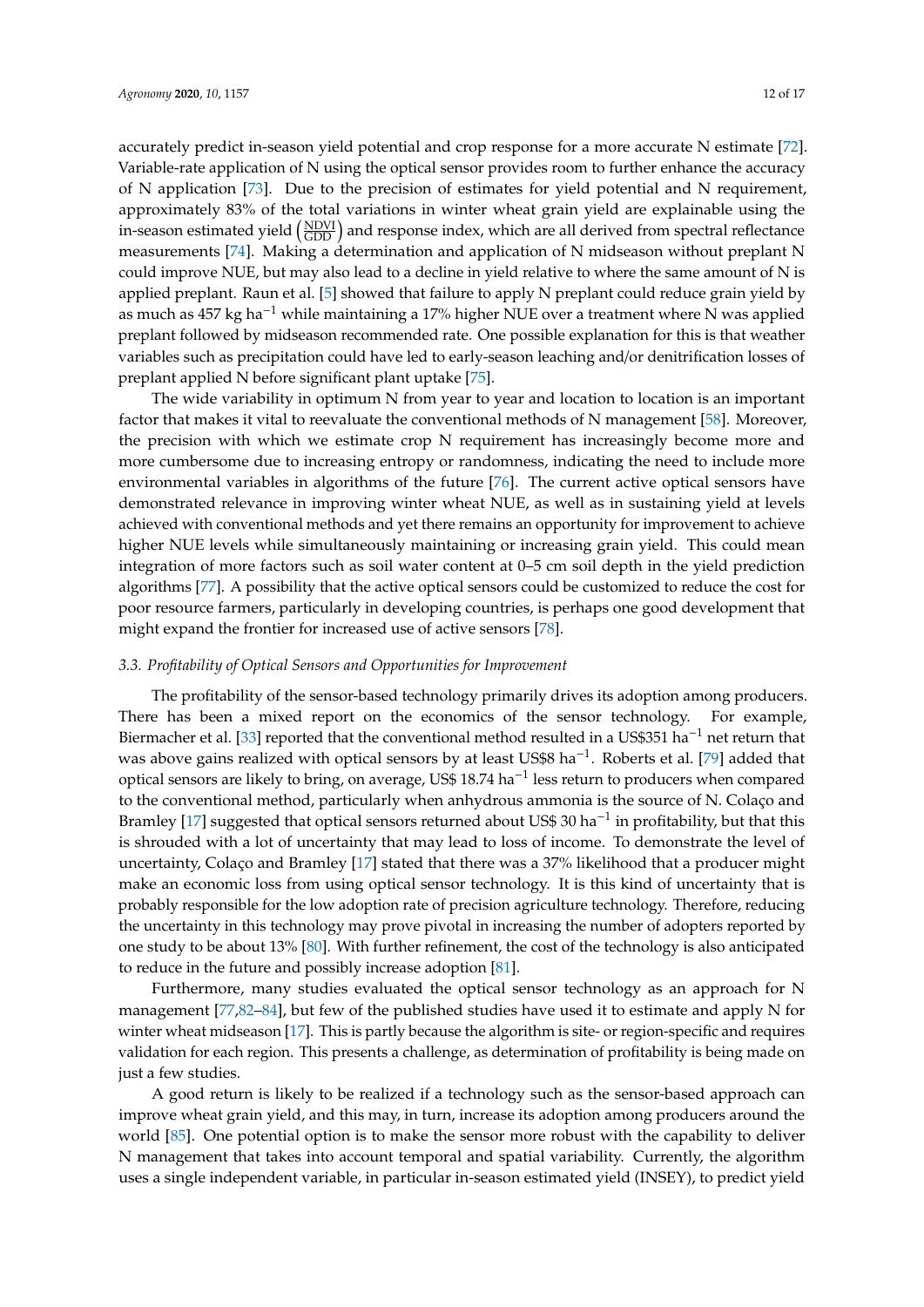accurately predict in-season yield potential and crop response for a more accurate N estimate [\[72\]](#page-15-23). Variable-rate application of N using the optical sensor provides room to further enhance the accuracy of N application [\[73\]](#page-16-0). Due to the precision of estimates for yield potential and N requirement, approximately 83% of the total variations in winter wheat grain yield are explainable using the in-season estimated yield  $\left(\frac{\text{NDVI}}{\text{GDD}}\right)$  and response index, which are all derived from spectral reflectance measurements [\[74\]](#page-16-1). Making a determination and application of N midseason without preplant N could improve NUE, but may also lead to a decline in yield relative to where the same amount of N is applied preplant. Raun et al. [\[5\]](#page-13-2) showed that failure to apply N preplant could reduce grain yield by as much as 457 kg ha−<sup>1</sup> while maintaining a 17% higher NUE over a treatment where N was applied preplant followed by midseason recommended rate. One possible explanation for this is that weather variables such as precipitation could have led to early-season leaching and/or denitrification losses of preplant applied N before significant plant uptake [\[75\]](#page-16-2).

The wide variability in optimum N from year to year and location to location is an important factor that makes it vital to reevaluate the conventional methods of N management [\[58\]](#page-15-9). Moreover, the precision with which we estimate crop N requirement has increasingly become more and more cumbersome due to increasing entropy or randomness, indicating the need to include more environmental variables in algorithms of the future [\[76\]](#page-16-3). The current active optical sensors have demonstrated relevance in improving winter wheat NUE, as well as in sustaining yield at levels achieved with conventional methods and yet there remains an opportunity for improvement to achieve higher NUE levels while simultaneously maintaining or increasing grain yield. This could mean integration of more factors such as soil water content at 0–5 cm soil depth in the yield prediction algorithms [\[77\]](#page-16-4). A possibility that the active optical sensors could be customized to reduce the cost for poor resource farmers, particularly in developing countries, is perhaps one good development that might expand the frontier for increased use of active sensors [\[78\]](#page-16-5).

#### *3.3. Profitability of Optical Sensors and Opportunities for Improvement*

The profitability of the sensor-based technology primarily drives its adoption among producers. There has been a mixed report on the economics of the sensor technology. For example, Biermacher et al. [\[33\]](#page-14-25) reported that the conventional method resulted in a US\$351 ha<sup>-1</sup> net return that was above gains realized with optical sensors by at least US\$8 ha<sup>-1</sup>. Roberts et al. [\[79\]](#page-16-6) added that optical sensors are likely to bring, on average, US\$ 18.74 ha−<sup>1</sup> less return to producers when compared to the conventional method, particularly when anhydrous ammonia is the source of N. Colaço and Bramley [\[17\]](#page-13-13) suggested that optical sensors returned about US\$ 30 ha−<sup>1</sup> in profitability, but that this is shrouded with a lot of uncertainty that may lead to loss of income. To demonstrate the level of uncertainty, Colaço and Bramley [\[17\]](#page-13-13) stated that there was a 37% likelihood that a producer might make an economic loss from using optical sensor technology. It is this kind of uncertainty that is probably responsible for the low adoption rate of precision agriculture technology. Therefore, reducing the uncertainty in this technology may prove pivotal in increasing the number of adopters reported by one study to be about 13% [\[80\]](#page-16-7). With further refinement, the cost of the technology is also anticipated to reduce in the future and possibly increase adoption [\[81\]](#page-16-8).

Furthermore, many studies evaluated the optical sensor technology as an approach for N management [\[77](#page-16-4)[,82–](#page-16-9)[84\]](#page-16-10), but few of the published studies have used it to estimate and apply N for winter wheat midseason [\[17\]](#page-13-13). This is partly because the algorithm is site- or region-specific and requires validation for each region. This presents a challenge, as determination of profitability is being made on just a few studies.

A good return is likely to be realized if a technology such as the sensor-based approach can improve wheat grain yield, and this may, in turn, increase its adoption among producers around the world [\[85\]](#page-16-11). One potential option is to make the sensor more robust with the capability to deliver N management that takes into account temporal and spatial variability. Currently, the algorithm uses a single independent variable, in particular in-season estimated yield (INSEY), to predict yield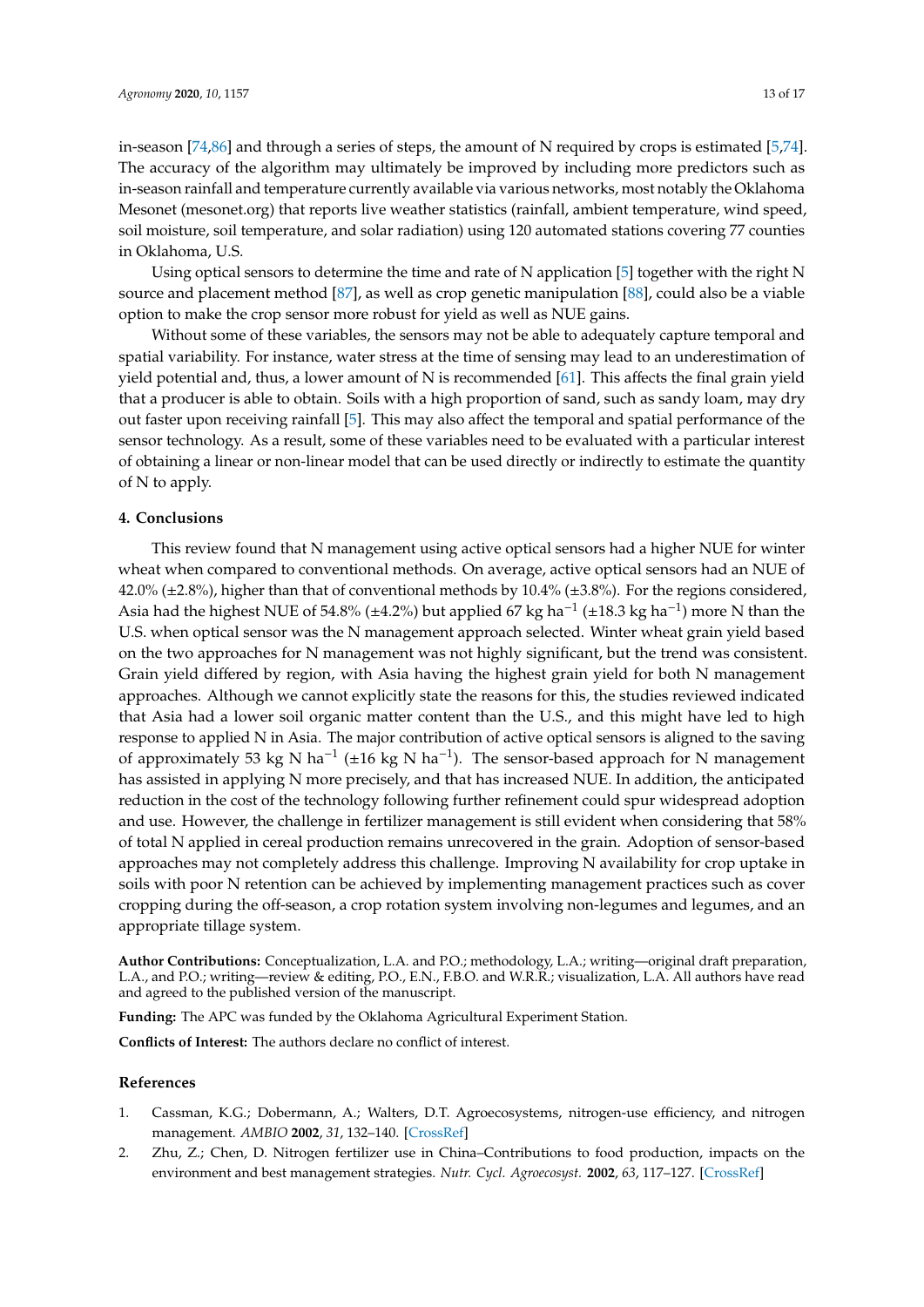in-season [\[74](#page-16-1)[,86\]](#page-16-12) and through a series of steps, the amount of N required by crops is estimated [\[5,](#page-13-2)[74\]](#page-16-1). The accuracy of the algorithm may ultimately be improved by including more predictors such as in-season rainfall and temperature currently available via various networks, most notably the Oklahoma Mesonet (mesonet.org) that reports live weather statistics (rainfall, ambient temperature, wind speed, soil moisture, soil temperature, and solar radiation) using 120 automated stations covering 77 counties in Oklahoma, U.S.

Using optical sensors to determine the time and rate of N application [\[5\]](#page-13-2) together with the right N source and placement method [\[87\]](#page-16-13), as well as crop genetic manipulation [\[88\]](#page-16-14), could also be a viable option to make the crop sensor more robust for yield as well as NUE gains.

Without some of these variables, the sensors may not be able to adequately capture temporal and spatial variability. For instance, water stress at the time of sensing may lead to an underestimation of yield potential and, thus, a lower amount of N is recommended [\[61\]](#page-15-12). This affects the final grain yield that a producer is able to obtain. Soils with a high proportion of sand, such as sandy loam, may dry out faster upon receiving rainfall [\[5\]](#page-13-2). This may also affect the temporal and spatial performance of the sensor technology. As a result, some of these variables need to be evaluated with a particular interest of obtaining a linear or non-linear model that can be used directly or indirectly to estimate the quantity of N to apply.

## **4. Conclusions**

This review found that N management using active optical sensors had a higher NUE for winter wheat when compared to conventional methods. On average, active optical sensors had an NUE of  $42.0\%$  ( $\pm 2.8\%$ ), higher than that of conventional methods by 10.4% ( $\pm 3.8\%$ ). For the regions considered, Asia had the highest NUE of 54.8% (±4.2%) but applied 67 kg ha<sup>-1</sup> (±18.3 kg ha<sup>-1</sup>) more N than the U.S. when optical sensor was the N management approach selected. Winter wheat grain yield based on the two approaches for N management was not highly significant, but the trend was consistent. Grain yield differed by region, with Asia having the highest grain yield for both N management approaches. Although we cannot explicitly state the reasons for this, the studies reviewed indicated that Asia had a lower soil organic matter content than the U.S., and this might have led to high response to applied N in Asia. The major contribution of active optical sensors is aligned to the saving of approximately 53 kg N ha<sup>-1</sup> (±16 kg N ha<sup>-1</sup>). The sensor-based approach for N management has assisted in applying N more precisely, and that has increased NUE. In addition, the anticipated reduction in the cost of the technology following further refinement could spur widespread adoption and use. However, the challenge in fertilizer management is still evident when considering that 58% of total N applied in cereal production remains unrecovered in the grain. Adoption of sensor-based approaches may not completely address this challenge. Improving N availability for crop uptake in soils with poor N retention can be achieved by implementing management practices such as cover cropping during the off-season, a crop rotation system involving non-legumes and legumes, and an appropriate tillage system.

**Author Contributions:** Conceptualization, L.A. and P.O.; methodology, L.A.; writing—original draft preparation, L.A., and P.O.; writing—review & editing, P.O., E.N., F.B.O. and W.R.R.; visualization, L.A. All authors have read and agreed to the published version of the manuscript.

**Funding:** The APC was funded by the Oklahoma Agricultural Experiment Station.

**Conflicts of Interest:** The authors declare no conflict of interest.

#### **References**

- <span id="page-12-0"></span>1. Cassman, K.G.; Dobermann, A.; Walters, D.T. Agroecosystems, nitrogen-use efficiency, and nitrogen management. *AMBIO* **2002**, *31*, 132–140. [\[CrossRef\]](http://dx.doi.org/10.1579/0044-7447-31.2.132)
- <span id="page-12-1"></span>2. Zhu, Z.; Chen, D. Nitrogen fertilizer use in China–Contributions to food production, impacts on the environment and best management strategies. *Nutr. Cycl. Agroecosyst.* **2002**, *63*, 117–127. [\[CrossRef\]](http://dx.doi.org/10.1023/A:1021107026067)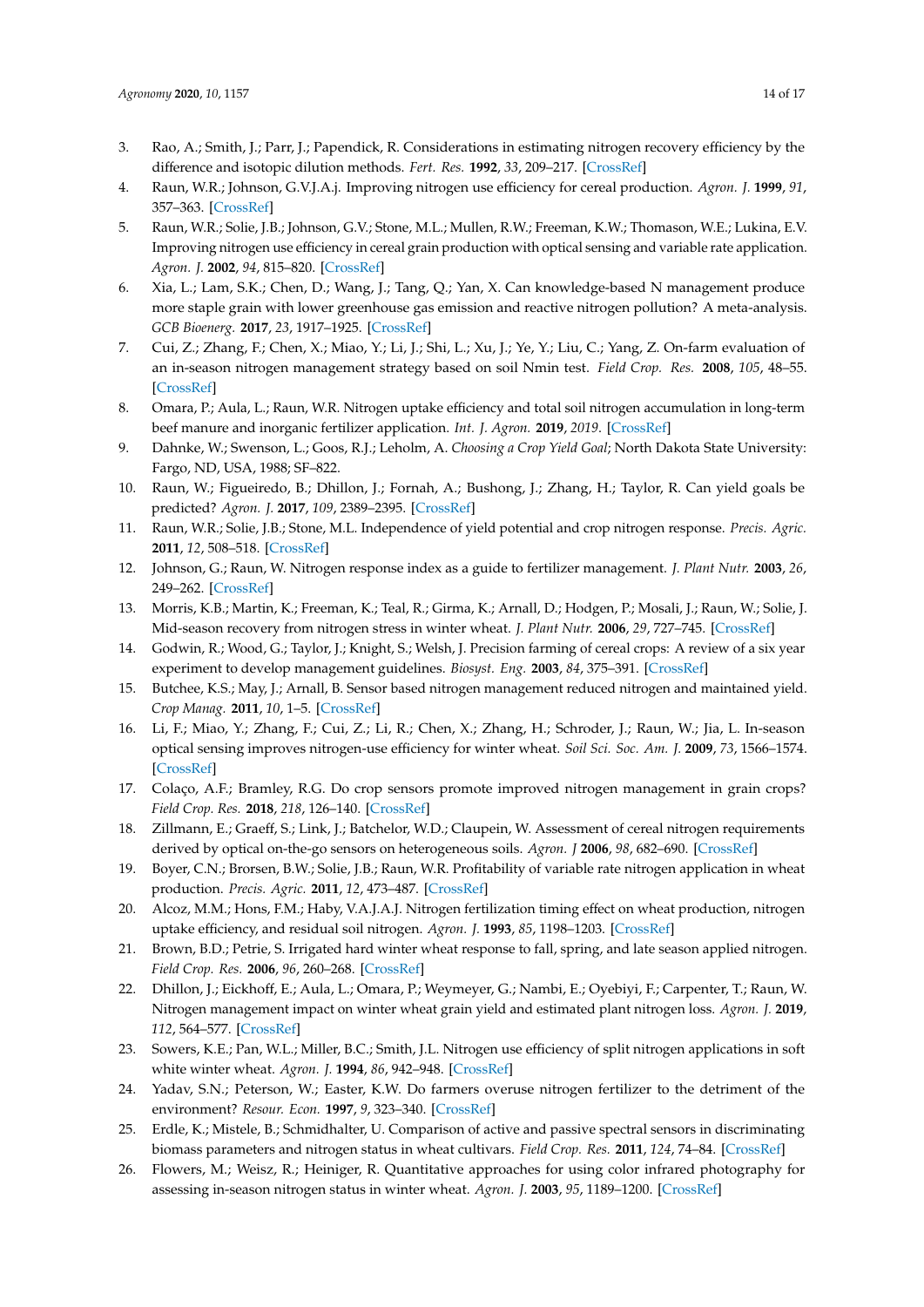- <span id="page-13-22"></span><span id="page-13-0"></span>3. Rao, A.; Smith, J.; Parr, J.; Papendick, R. Considerations in estimating nitrogen recovery efficiency by the difference and isotopic dilution methods. *Fert. Res.* **1992**, *33*, 209–217. [\[CrossRef\]](http://dx.doi.org/10.1007/BF01050876)
- <span id="page-13-1"></span>4. Raun, W.R.; Johnson, G.V.J.A.j. Improving nitrogen use efficiency for cereal production. *Agron. J.* **1999**, *91*, 357–363. [\[CrossRef\]](http://dx.doi.org/10.2134/agronj1999.00021962009100030001x)
- <span id="page-13-23"></span><span id="page-13-2"></span>5. Raun, W.R.; Solie, J.B.; Johnson, G.V.; Stone, M.L.; Mullen, R.W.; Freeman, K.W.; Thomason, W.E.; Lukina, E.V. Improving nitrogen use efficiency in cereal grain production with optical sensing and variable rate application. *Agron. J.* **2002**, *94*, 815–820. [\[CrossRef\]](http://dx.doi.org/10.2134/agronj2002.8150)
- <span id="page-13-24"></span>6. Xia, L.; Lam, S.K.; Chen, D.; Wang, J.; Tang, Q.; Yan, X. Can knowledge-based N management produce more staple grain with lower greenhouse gas emission and reactive nitrogen pollution? A meta-analysis. *GCB Bioenerg.* **2017**, *23*, 1917–1925. [\[CrossRef\]](http://dx.doi.org/10.1111/gcb.13455)
- <span id="page-13-25"></span><span id="page-13-3"></span>7. Cui, Z.; Zhang, F.; Chen, X.; Miao, Y.; Li, J.; Shi, L.; Xu, J.; Ye, Y.; Liu, C.; Yang, Z. On-farm evaluation of an in-season nitrogen management strategy based on soil Nmin test. *Field Crop. Res.* **2008**, *105*, 48–55. [\[CrossRef\]](http://dx.doi.org/10.1016/j.fcr.2007.07.008)
- <span id="page-13-4"></span>8. Omara, P.; Aula, L.; Raun, W.R. Nitrogen uptake efficiency and total soil nitrogen accumulation in long-term beef manure and inorganic fertilizer application. *Int. J. Agron.* **2019**, *2019*. [\[CrossRef\]](http://dx.doi.org/10.1155/2019/9594369)
- <span id="page-13-5"></span>9. Dahnke, W.; Swenson, L.; Goos, R.J.; Leholm, A. *Choosing a Crop Yield Goal*; North Dakota State University: Fargo, ND, USA, 1988; SF–822.
- <span id="page-13-26"></span><span id="page-13-6"></span>10. Raun, W.; Figueiredo, B.; Dhillon, J.; Fornah, A.; Bushong, J.; Zhang, H.; Taylor, R. Can yield goals be predicted? *Agron. J.* **2017**, *109*, 2389–2395. [\[CrossRef\]](http://dx.doi.org/10.2134/agronj2017.05.0279)
- <span id="page-13-7"></span>11. Raun, W.R.; Solie, J.B.; Stone, M.L. Independence of yield potential and crop nitrogen response. *Precis. Agric.* **2011**, *12*, 508–518. [\[CrossRef\]](http://dx.doi.org/10.1007/s11119-010-9196-z)
- <span id="page-13-8"></span>12. Johnson, G.; Raun, W. Nitrogen response index as a guide to fertilizer management. *J. Plant Nutr.* **2003**, *26*, 249–262. [\[CrossRef\]](http://dx.doi.org/10.1081/PLN-120017134)
- <span id="page-13-9"></span>13. Morris, K.B.; Martin, K.; Freeman, K.; Teal, R.; Girma, K.; Arnall, D.; Hodgen, P.; Mosali, J.; Raun, W.; Solie, J. Mid-season recovery from nitrogen stress in winter wheat. *J. Plant Nutr.* **2006**, *29*, 727–745. [\[CrossRef\]](http://dx.doi.org/10.1080/01904160600567066)
- <span id="page-13-10"></span>14. Godwin, R.; Wood, G.; Taylor, J.; Knight, S.; Welsh, J. Precision farming of cereal crops: A review of a six year experiment to develop management guidelines. *Biosyst. Eng.* **2003**, *84*, 375–391. [\[CrossRef\]](http://dx.doi.org/10.1016/S1537-5110(03)00031-X)
- <span id="page-13-11"></span>15. Butchee, K.S.; May, J.; Arnall, B. Sensor based nitrogen management reduced nitrogen and maintained yield. *Crop Manag.* **2011**, *10*, 1–5. [\[CrossRef\]](http://dx.doi.org/10.1094/CM-2011-0725-01-RS)
- <span id="page-13-12"></span>16. Li, F.; Miao, Y.; Zhang, F.; Cui, Z.; Li, R.; Chen, X.; Zhang, H.; Schroder, J.; Raun, W.; Jia, L. In-season optical sensing improves nitrogen-use efficiency for winter wheat. *Soil Sci. Soc. Am. J.* **2009**, *73*, 1566–1574. [\[CrossRef\]](http://dx.doi.org/10.2136/sssaj2008.0150)
- <span id="page-13-13"></span>17. Colaço, A.F.; Bramley, R.G. Do crop sensors promote improved nitrogen management in grain crops? *Field Crop. Res.* **2018**, *218*, 126–140. [\[CrossRef\]](http://dx.doi.org/10.1016/j.fcr.2018.01.007)
- 18. Zillmann, E.; Graeff, S.; Link, J.; Batchelor, W.D.; Claupein, W. Assessment of cereal nitrogen requirements derived by optical on-the-go sensors on heterogeneous soils. *Agron. J* **2006**, *98*, 682–690. [\[CrossRef\]](http://dx.doi.org/10.2134/agronj2005.0253)
- <span id="page-13-14"></span>19. Boyer, C.N.; Brorsen, B.W.; Solie, J.B.; Raun, W.R. Profitability of variable rate nitrogen application in wheat production. *Precis. Agric.* **2011**, *12*, 473–487. [\[CrossRef\]](http://dx.doi.org/10.1007/s11119-010-9190-5)
- <span id="page-13-15"></span>20. Alcoz, M.M.; Hons, F.M.; Haby, V.A.J.A.J. Nitrogen fertilization timing effect on wheat production, nitrogen uptake efficiency, and residual soil nitrogen. *Agron. J.* **1993**, *85*, 1198–1203. [\[CrossRef\]](http://dx.doi.org/10.2134/agronj1993.00021962008500060020x)
- <span id="page-13-16"></span>21. Brown, B.D.; Petrie, S. Irrigated hard winter wheat response to fall, spring, and late season applied nitrogen. *Field Crop. Res.* **2006**, *96*, 260–268. [\[CrossRef\]](http://dx.doi.org/10.1016/j.fcr.2005.07.011)
- <span id="page-13-17"></span>22. Dhillon, J.; Eickhoff, E.; Aula, L.; Omara, P.; Weymeyer, G.; Nambi, E.; Oyebiyi, F.; Carpenter, T.; Raun, W. Nitrogen management impact on winter wheat grain yield and estimated plant nitrogen loss. *Agron. J.* **2019**, *112*, 564–577. [\[CrossRef\]](http://dx.doi.org/10.1002/agj2.20107)
- <span id="page-13-18"></span>23. Sowers, K.E.; Pan, W.L.; Miller, B.C.; Smith, J.L. Nitrogen use efficiency of split nitrogen applications in soft white winter wheat. *Agron. J.* **1994**, *86*, 942–948. [\[CrossRef\]](http://dx.doi.org/10.2134/agronj1994.00021962008600060004x)
- <span id="page-13-19"></span>24. Yadav, S.N.; Peterson, W.; Easter, K.W. Do farmers overuse nitrogen fertilizer to the detriment of the environment? *Resour. Econ.* **1997**, *9*, 323–340. [\[CrossRef\]](http://dx.doi.org/10.1007/BF02441403)
- <span id="page-13-20"></span>25. Erdle, K.; Mistele, B.; Schmidhalter, U. Comparison of active and passive spectral sensors in discriminating biomass parameters and nitrogen status in wheat cultivars. *Field Crop. Res.* **2011**, *124*, 74–84. [\[CrossRef\]](http://dx.doi.org/10.1016/j.fcr.2011.06.007)
- <span id="page-13-21"></span>26. Flowers, M.; Weisz, R.; Heiniger, R. Quantitative approaches for using color infrared photography for assessing in-season nitrogen status in winter wheat. *Agron. J.* **2003**, *95*, 1189–1200. [\[CrossRef\]](http://dx.doi.org/10.2134/agronj2003.1189)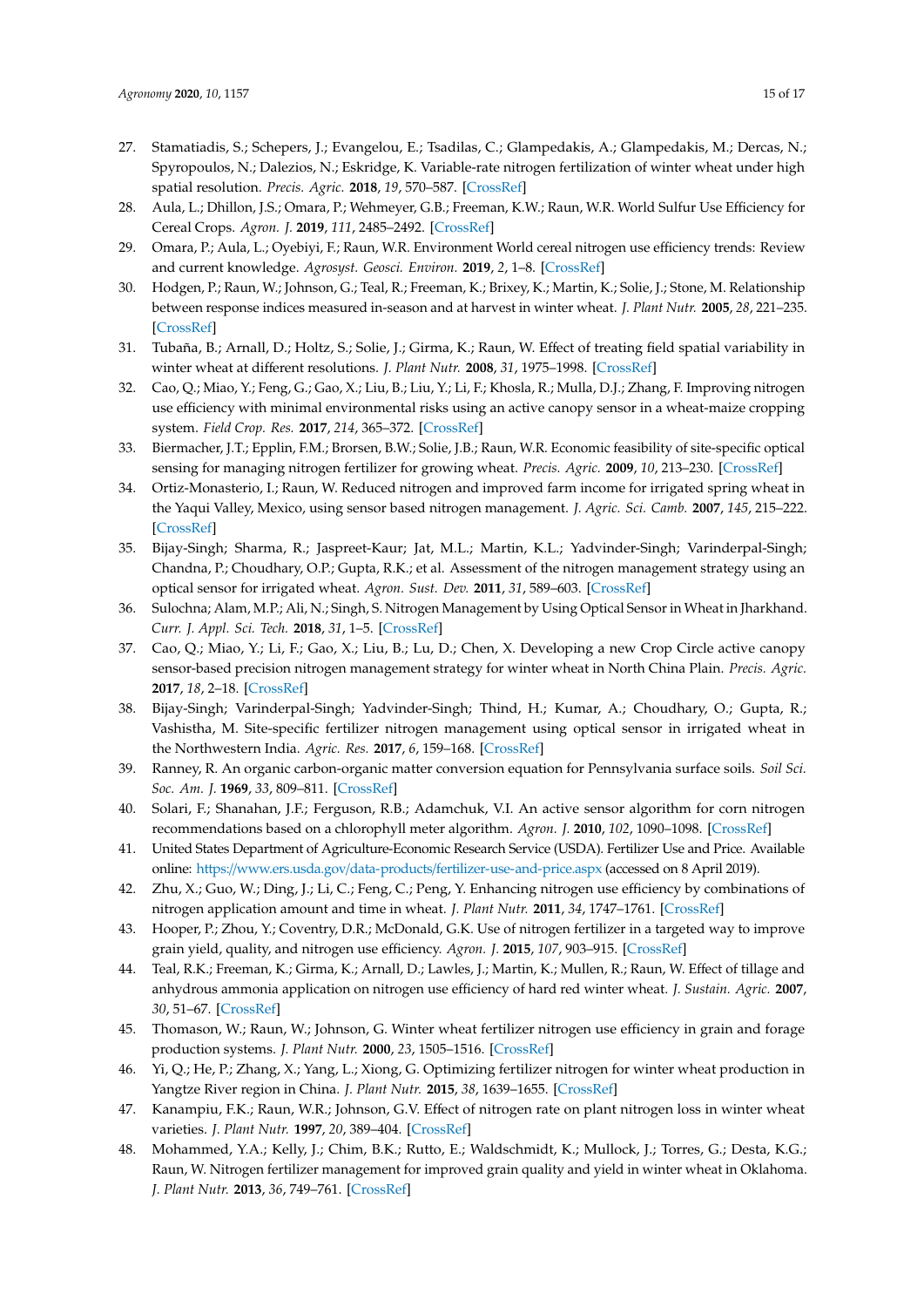- <span id="page-14-9"></span><span id="page-14-8"></span><span id="page-14-7"></span><span id="page-14-6"></span><span id="page-14-5"></span><span id="page-14-4"></span><span id="page-14-3"></span><span id="page-14-0"></span>27. Stamatiadis, S.; Schepers, J.; Evangelou, E.; Tsadilas, C.; Glampedakis, A.; Glampedakis, M.; Dercas, N.; Spyropoulos, N.; Dalezios, N.; Eskridge, K. Variable-rate nitrogen fertilization of winter wheat under high spatial resolution. *Precis. Agric.* **2018**, *19*, 570–587. [\[CrossRef\]](http://dx.doi.org/10.1007/s11119-017-9540-7)
- <span id="page-14-10"></span><span id="page-14-1"></span>28. Aula, L.; Dhillon, J.S.; Omara, P.; Wehmeyer, G.B.; Freeman, K.W.; Raun, W.R. World Sulfur Use Efficiency for Cereal Crops. *Agron. J.* **2019**, *111*, 2485–2492. [\[CrossRef\]](http://dx.doi.org/10.2134/agronj2019.02.0095)
- <span id="page-14-11"></span><span id="page-14-2"></span>29. Omara, P.; Aula, L.; Oyebiyi, F.; Raun, W.R. Environment World cereal nitrogen use efficiency trends: Review and current knowledge. *Agrosyst. Geosci. Environ.* **2019**, *2*, 1–8. [\[CrossRef\]](http://dx.doi.org/10.2134/age2018.10.0045)
- 30. Hodgen, P.; Raun, W.; Johnson, G.; Teal, R.; Freeman, K.; Brixey, K.; Martin, K.; Solie, J.; Stone, M. Relationship between response indices measured in-season and at harvest in winter wheat. *J. Plant Nutr.* **2005**, *28*, 221–235. [\[CrossRef\]](http://dx.doi.org/10.1081/PLN-200047605)
- <span id="page-14-24"></span><span id="page-14-12"></span>31. Tubaña, B.; Arnall, D.; Holtz, S.; Solie, J.; Girma, K.; Raun, W. Effect of treating field spatial variability in winter wheat at different resolutions. *J. Plant Nutr.* **2008**, *31*, 1975–1998. [\[CrossRef\]](http://dx.doi.org/10.1080/01904160802403144)
- <span id="page-14-13"></span>32. Cao, Q.; Miao, Y.; Feng, G.; Gao, X.; Liu, B.; Liu, Y.; Li, F.; Khosla, R.; Mulla, D.J.; Zhang, F. Improving nitrogen use efficiency with minimal environmental risks using an active canopy sensor in a wheat-maize cropping system. *Field Crop. Res.* **2017**, *214*, 365–372. [\[CrossRef\]](http://dx.doi.org/10.1016/j.fcr.2017.09.033)
- <span id="page-14-25"></span>33. Biermacher, J.T.; Epplin, F.M.; Brorsen, B.W.; Solie, J.B.; Raun, W.R. Economic feasibility of site-specific optical sensing for managing nitrogen fertilizer for growing wheat. *Precis. Agric.* **2009**, *10*, 213–230. [\[CrossRef\]](http://dx.doi.org/10.1007/s11119-008-9092-y)
- 34. Ortiz-Monasterio, I.; Raun, W. Reduced nitrogen and improved farm income for irrigated spring wheat in the Yaqui Valley, Mexico, using sensor based nitrogen management. *J. Agric. Sci. Camb.* **2007**, *145*, 215–222. [\[CrossRef\]](http://dx.doi.org/10.1017/S0021859607006995)
- 35. Bijay-Singh; Sharma, R.; Jaspreet-Kaur; Jat, M.L.; Martin, K.L.; Yadvinder-Singh; Varinderpal-Singh; Chandna, P.; Choudhary, O.P.; Gupta, R.K.; et al. Assessment of the nitrogen management strategy using an optical sensor for irrigated wheat. *Agron. Sust. Dev.* **2011**, *31*, 589–603. [\[CrossRef\]](http://dx.doi.org/10.1007/s13593-011-0005-5)
- 36. Sulochna; Alam, M.P.; Ali, N.; Singh, S. Nitrogen Management by Using Optical Sensor in Wheat in Jharkhand. *Curr. J. Appl. Sci. Tech.* **2018**, *31*, 1–5. [\[CrossRef\]](http://dx.doi.org/10.9734/CJAST/2018/45894)
- 37. Cao, Q.; Miao, Y.; Li, F.; Gao, X.; Liu, B.; Lu, D.; Chen, X. Developing a new Crop Circle active canopy sensor-based precision nitrogen management strategy for winter wheat in North China Plain. *Precis. Agric.* **2017**, *18*, 2–18. [\[CrossRef\]](http://dx.doi.org/10.1007/s11119-016-9456-7)
- 38. Bijay-Singh; Varinderpal-Singh; Yadvinder-Singh; Thind, H.; Kumar, A.; Choudhary, O.; Gupta, R.; Vashistha, M. Site-specific fertilizer nitrogen management using optical sensor in irrigated wheat in the Northwestern India. *Agric. Res.* **2017**, *6*, 159–168. [\[CrossRef\]](http://dx.doi.org/10.1007/s40003-017-0251-0)
- <span id="page-14-23"></span>39. Ranney, R. An organic carbon-organic matter conversion equation for Pennsylvania surface soils. *Soil Sci. Soc. Am. J.* **1969**, *33*, 809–811. [\[CrossRef\]](http://dx.doi.org/10.2136/sssaj1969.03615995003300050049x)
- <span id="page-14-14"></span>40. Solari, F.; Shanahan, J.F.; Ferguson, R.B.; Adamchuk, V.I. An active sensor algorithm for corn nitrogen recommendations based on a chlorophyll meter algorithm. *Agron. J.* **2010**, *102*, 1090–1098. [\[CrossRef\]](http://dx.doi.org/10.2134/agronj2010.0009)
- <span id="page-14-15"></span>41. United States Department of Agriculture-Economic Research Service (USDA). Fertilizer Use and Price. Available online: https://www.ers.usda.gov/data-products/[fertilizer-use-and-price.aspx](https://www.ers.usda.gov/data-products/fertilizer-use-and-price.aspx) (accessed on 8 April 2019).
- <span id="page-14-16"></span>42. Zhu, X.; Guo, W.; Ding, J.; Li, C.; Feng, C.; Peng, Y. Enhancing nitrogen use efficiency by combinations of nitrogen application amount and time in wheat. *J. Plant Nutr.* **2011**, *34*, 1747–1761. [\[CrossRef\]](http://dx.doi.org/10.1080/01904167.2011.600403)
- <span id="page-14-17"></span>43. Hooper, P.; Zhou, Y.; Coventry, D.R.; McDonald, G.K. Use of nitrogen fertilizer in a targeted way to improve grain yield, quality, and nitrogen use efficiency. *Agron. J.* **2015**, *107*, 903–915. [\[CrossRef\]](http://dx.doi.org/10.2134/agronj14.0363)
- <span id="page-14-18"></span>44. Teal, R.K.; Freeman, K.; Girma, K.; Arnall, D.; Lawles, J.; Martin, K.; Mullen, R.; Raun, W. Effect of tillage and anhydrous ammonia application on nitrogen use efficiency of hard red winter wheat. *J. Sustain. Agric.* **2007**, *30*, 51–67. [\[CrossRef\]](http://dx.doi.org/10.1300/J064v30n02_07)
- <span id="page-14-19"></span>45. Thomason, W.; Raun, W.; Johnson, G. Winter wheat fertilizer nitrogen use efficiency in grain and forage production systems. *J. Plant Nutr.* **2000**, *23*, 1505–1516. [\[CrossRef\]](http://dx.doi.org/10.1080/01904160009382118)
- <span id="page-14-20"></span>46. Yi, Q.; He, P.; Zhang, X.; Yang, L.; Xiong, G. Optimizing fertilizer nitrogen for winter wheat production in Yangtze River region in China. *J. Plant Nutr.* **2015**, *38*, 1639–1655. [\[CrossRef\]](http://dx.doi.org/10.1080/01904167.2015.1061547)
- <span id="page-14-21"></span>47. Kanampiu, F.K.; Raun, W.R.; Johnson, G.V. Effect of nitrogen rate on plant nitrogen loss in winter wheat varieties. *J. Plant Nutr.* **1997**, *20*, 389–404. [\[CrossRef\]](http://dx.doi.org/10.1080/01904169709365259)
- <span id="page-14-22"></span>48. Mohammed, Y.A.; Kelly, J.; Chim, B.K.; Rutto, E.; Waldschmidt, K.; Mullock, J.; Torres, G.; Desta, K.G.; Raun, W. Nitrogen fertilizer management for improved grain quality and yield in winter wheat in Oklahoma. *J. Plant Nutr.* **2013**, *36*, 749–761. [\[CrossRef\]](http://dx.doi.org/10.1080/01904167.2012.754039)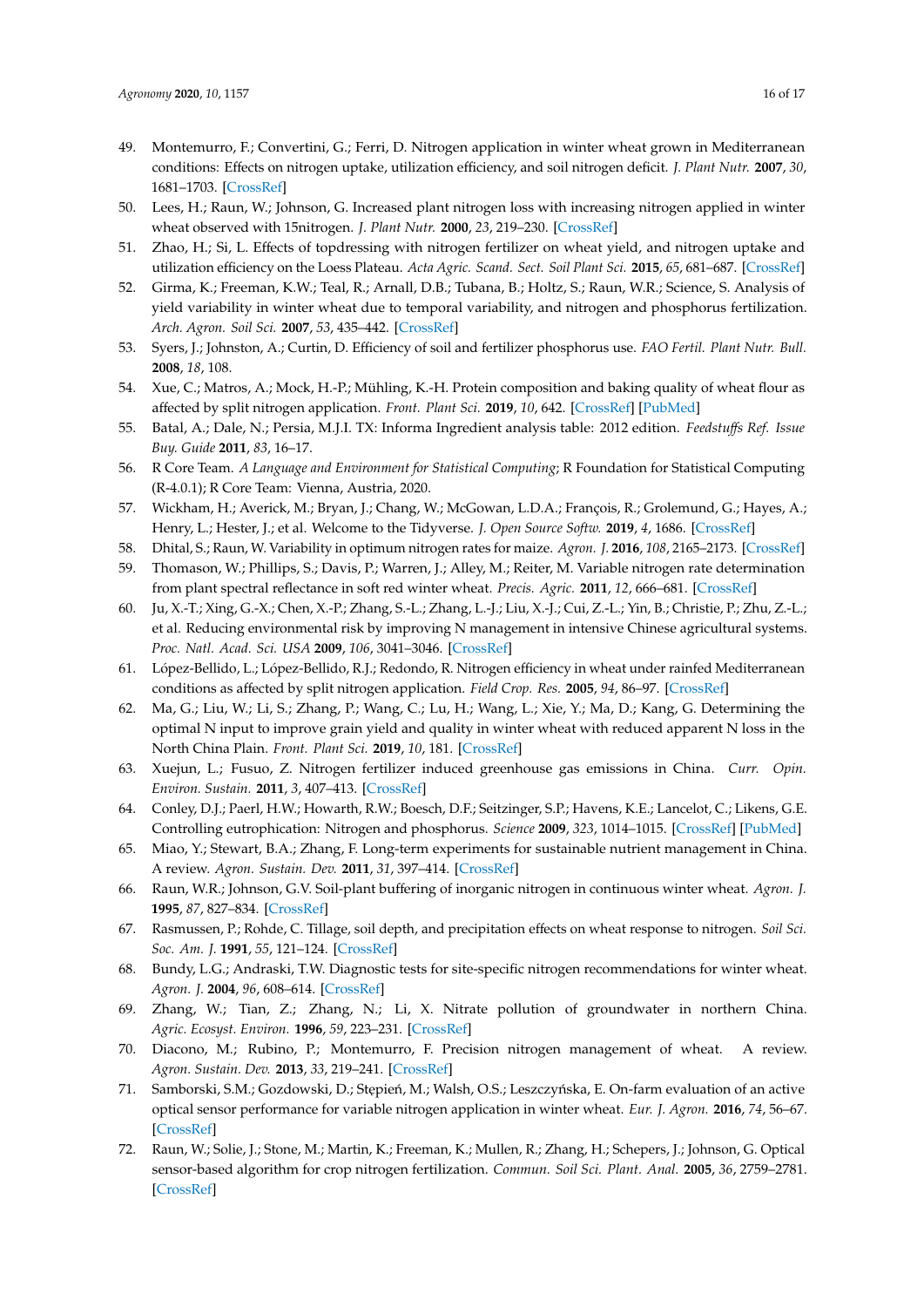- <span id="page-15-0"></span>49. Montemurro, F.; Convertini, G.; Ferri, D. Nitrogen application in winter wheat grown in Mediterranean conditions: Effects on nitrogen uptake, utilization efficiency, and soil nitrogen deficit. *J. Plant Nutr.* **2007**, *30*, 1681–1703. [\[CrossRef\]](http://dx.doi.org/10.1080/01904160701615541)
- <span id="page-15-1"></span>50. Lees, H.; Raun, W.; Johnson, G. Increased plant nitrogen loss with increasing nitrogen applied in winter wheat observed with 15nitrogen. *J. Plant Nutr.* **2000**, *23*, 219–230. [\[CrossRef\]](http://dx.doi.org/10.1080/01904160009382009)
- <span id="page-15-2"></span>51. Zhao, H.; Si, L. Effects of topdressing with nitrogen fertilizer on wheat yield, and nitrogen uptake and utilization efficiency on the Loess Plateau. *Acta Agric. Scand. Sect. Soil Plant Sci.* **2015**, *65*, 681–687. [\[CrossRef\]](http://dx.doi.org/10.1080/09064710.2015.1045933)
- <span id="page-15-3"></span>52. Girma, K.; Freeman, K.W.; Teal, R.; Arnall, D.B.; Tubana, B.; Holtz, S.; Raun, W.R.; Science, S. Analysis of yield variability in winter wheat due to temporal variability, and nitrogen and phosphorus fertilization. *Arch. Agron. Soil Sci.* **2007**, *53*, 435–442. [\[CrossRef\]](http://dx.doi.org/10.1080/03650340701466754)
- <span id="page-15-4"></span>53. Syers, J.; Johnston, A.; Curtin, D. Efficiency of soil and fertilizer phosphorus use. *FAO Fertil. Plant Nutr. Bull.* **2008**, *18*, 108.
- <span id="page-15-5"></span>54. Xue, C.; Matros, A.; Mock, H.-P.; Mühling, K.-H. Protein composition and baking quality of wheat flour as affected by split nitrogen application. *Front. Plant Sci.* **2019**, *10*, 642. [\[CrossRef\]](http://dx.doi.org/10.3389/fpls.2019.00642) [\[PubMed\]](http://www.ncbi.nlm.nih.gov/pubmed/31156690)
- <span id="page-15-6"></span>55. Batal, A.; Dale, N.; Persia, M.J.I. TX: Informa Ingredient analysis table: 2012 edition. *Feedstu*ff*s Ref. Issue Buy. Guide* **2011**, *83*, 16–17.
- <span id="page-15-7"></span>56. R Core Team. *A Language and Environment for Statistical Computing*; R Foundation for Statistical Computing (R-4.0.1); R Core Team: Vienna, Austria, 2020.
- <span id="page-15-8"></span>57. Wickham, H.; Averick, M.; Bryan, J.; Chang, W.; McGowan, L.D.A.; François, R.; Grolemund, G.; Hayes, A.; Henry, L.; Hester, J.; et al. Welcome to the Tidyverse. *J. Open Source Softw.* **2019**, *4*, 1686. [\[CrossRef\]](http://dx.doi.org/10.21105/joss.01686)
- <span id="page-15-9"></span>58. Dhital, S.; Raun, W. Variability in optimum nitrogen rates for maize. *Agron. J.* **2016**, *108*, 2165–2173. [\[CrossRef\]](http://dx.doi.org/10.2134/agronj2016.03.0139)
- <span id="page-15-10"></span>59. Thomason, W.; Phillips, S.; Davis, P.; Warren, J.; Alley, M.; Reiter, M. Variable nitrogen rate determination from plant spectral reflectance in soft red winter wheat. *Precis. Agric.* **2011**, *12*, 666–681. [\[CrossRef\]](http://dx.doi.org/10.1007/s11119-010-9210-5)
- <span id="page-15-11"></span>60. Ju, X.-T.; Xing, G.-X.; Chen, X.-P.; Zhang, S.-L.; Zhang, L.-J.; Liu, X.-J.; Cui, Z.-L.; Yin, B.; Christie, P.; Zhu, Z.-L.; et al. Reducing environmental risk by improving N management in intensive Chinese agricultural systems. *Proc. Natl. Acad. Sci. USA* **2009**, *106*, 3041–3046. [\[CrossRef\]](http://dx.doi.org/10.1073/pnas.0813417106)
- <span id="page-15-12"></span>61. López-Bellido, L.; López-Bellido, R.J.; Redondo, R. Nitrogen efficiency in wheat under rainfed Mediterranean conditions as affected by split nitrogen application. *Field Crop. Res.* **2005**, *94*, 86–97. [\[CrossRef\]](http://dx.doi.org/10.1016/j.fcr.2004.11.004)
- <span id="page-15-13"></span>62. Ma, G.; Liu, W.; Li, S.; Zhang, P.; Wang, C.; Lu, H.; Wang, L.; Xie, Y.; Ma, D.; Kang, G. Determining the optimal N input to improve grain yield and quality in winter wheat with reduced apparent N loss in the North China Plain. *Front. Plant Sci.* **2019**, *10*, 181. [\[CrossRef\]](http://dx.doi.org/10.3389/fpls.2019.00181)
- <span id="page-15-14"></span>63. Xuejun, L.; Fusuo, Z. Nitrogen fertilizer induced greenhouse gas emissions in China. *Curr. Opin. Environ. Sustain.* **2011**, *3*, 407–413. [\[CrossRef\]](http://dx.doi.org/10.1016/j.cosust.2011.08.006)
- <span id="page-15-15"></span>64. Conley, D.J.; Paerl, H.W.; Howarth, R.W.; Boesch, D.F.; Seitzinger, S.P.; Havens, K.E.; Lancelot, C.; Likens, G.E. Controlling eutrophication: Nitrogen and phosphorus. *Science* **2009**, *323*, 1014–1015. [\[CrossRef\]](http://dx.doi.org/10.1126/science.1167755) [\[PubMed\]](http://www.ncbi.nlm.nih.gov/pubmed/19229022)
- <span id="page-15-16"></span>65. Miao, Y.; Stewart, B.A.; Zhang, F. Long-term experiments for sustainable nutrient management in China. A review. *Agron. Sustain. Dev.* **2011**, *31*, 397–414. [\[CrossRef\]](http://dx.doi.org/10.1051/agro/2010034)
- <span id="page-15-17"></span>66. Raun, W.R.; Johnson, G.V. Soil-plant buffering of inorganic nitrogen in continuous winter wheat. *Agron. J.* **1995**, *87*, 827–834. [\[CrossRef\]](http://dx.doi.org/10.2134/agronj1995.00021962008700050008x)
- <span id="page-15-18"></span>67. Rasmussen, P.; Rohde, C. Tillage, soil depth, and precipitation effects on wheat response to nitrogen. *Soil Sci. Soc. Am. J.* **1991**, *55*, 121–124. [\[CrossRef\]](http://dx.doi.org/10.2136/sssaj1991.03615995005500010021x)
- <span id="page-15-19"></span>68. Bundy, L.G.; Andraski, T.W. Diagnostic tests for site-specific nitrogen recommendations for winter wheat. *Agron. J.* **2004**, *96*, 608–614. [\[CrossRef\]](http://dx.doi.org/10.2134/agronj2004.0608)
- <span id="page-15-20"></span>69. Zhang, W.; Tian, Z.; Zhang, N.; Li, X. Nitrate pollution of groundwater in northern China. *Agric. Ecosyst. Environ.* **1996**, *59*, 223–231. [\[CrossRef\]](http://dx.doi.org/10.1016/0167-8809(96)01052-3)
- <span id="page-15-21"></span>70. Diacono, M.; Rubino, P.; Montemurro, F. Precision nitrogen management of wheat. A review. *Agron. Sustain. Dev.* **2013**, *33*, 219–241. [\[CrossRef\]](http://dx.doi.org/10.1007/s13593-012-0111-z)
- <span id="page-15-22"></span>71. Samborski, S.M.; Gozdowski, D.; Stępień, M.; Walsh, O.S.; Leszczyńska, E. On-farm evaluation of an active optical sensor performance for variable nitrogen application in winter wheat. *Eur. J. Agron.* **2016**, *74*, 56–67. [\[CrossRef\]](http://dx.doi.org/10.1016/j.eja.2015.11.020)
- <span id="page-15-23"></span>72. Raun, W.; Solie, J.; Stone, M.; Martin, K.; Freeman, K.; Mullen, R.; Zhang, H.; Schepers, J.; Johnson, G. Optical sensor-based algorithm for crop nitrogen fertilization. *Commun. Soil Sci. Plant. Anal.* **2005**, *36*, 2759–2781. [\[CrossRef\]](http://dx.doi.org/10.1080/00103620500303988)